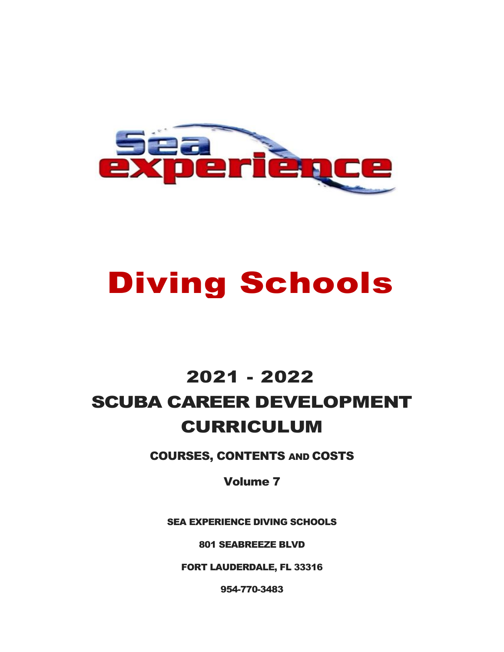

# Diving Schools

# 2021 - 2022 SCUBA CAREER DEVELOPMENT CURRICULUM

COURSES, CONTENTS AND COSTS

Volume 7

SEA EXPERIENCE DIVING SCHOOLS

801 SEABREEZE BLVD

FORT LAUDERDALE, FL 33316

954-770-3483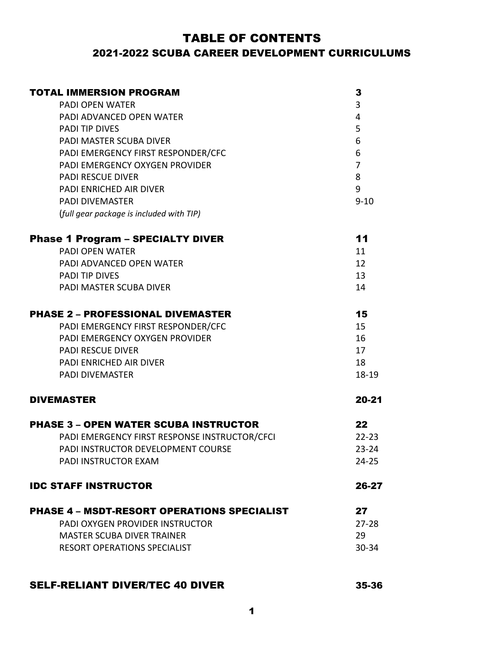### TABLE OF CONTENTS 2021-2022 SCUBA CAREER DEVELOPMENT CURRICULUMS

| <b>TOTAL IMMERSION PROGRAM</b>                     | 3              |
|----------------------------------------------------|----------------|
| <b>PADI OPEN WATER</b>                             | 3              |
| PADI ADVANCED OPEN WATER                           | 4              |
| <b>PADI TIP DIVES</b>                              | 5              |
| PADI MASTER SCUBA DIVER                            | 6              |
| PADI EMERGENCY FIRST RESPONDER/CFC                 | 6              |
| PADI EMERGENCY OXYGEN PROVIDER                     | $\overline{7}$ |
| <b>PADI RESCUE DIVER</b>                           | 8              |
| <b>PADI ENRICHED AIR DIVER</b>                     | 9              |
| <b>PADI DIVEMASTER</b>                             | $9 - 10$       |
| (full gear package is included with TIP)           |                |
| <b>Phase 1 Program - SPECIALTY DIVER</b>           | 11             |
| <b>PADI OPEN WATER</b>                             | 11             |
| PADI ADVANCED OPEN WATER                           | 12             |
| <b>PADI TIP DIVES</b>                              | 13             |
| PADI MASTER SCUBA DIVER                            | 14             |
| <b>PHASE 2 - PROFESSIONAL DIVEMASTER</b>           | 15             |
| PADI EMERGENCY FIRST RESPONDER/CFC                 | 15             |
| PADI EMERGENCY OXYGEN PROVIDER                     | 16             |
| <b>PADI RESCUE DIVER</b>                           | 17             |
| <b>PADI ENRICHED AIR DIVER</b>                     | 18             |
| <b>PADI DIVEMASTER</b>                             | 18-19          |
| <b>DIVEMASTER</b>                                  | 20-21          |
| <b>PHASE 3 - OPEN WATER SCUBA INSTRUCTOR</b>       | 22             |
| PADI EMERGENCY FIRST RESPONSE INSTRUCTOR/CFCI      | $22 - 23$      |
| PADI INSTRUCTOR DEVELOPMENT COURSE                 | $23 - 24$      |
| PADI INSTRUCTOR EXAM                               | $24 - 25$      |
| <b>IDC STAFF INSTRUCTOR</b>                        | 26-27          |
| <b>PHASE 4 - MSDT-RESORT OPERATIONS SPECIALIST</b> | 27             |
| PADI OXYGEN PROVIDER INSTRUCTOR                    | $27 - 28$      |
| <b>MASTER SCUBA DIVER TRAINER</b>                  | 29             |
| <b>RESORT OPERATIONS SPECIALIST</b>                | 30-34          |
|                                                    |                |

#### SELF-RELIANT DIVER/TEC 40 DIVER 35-36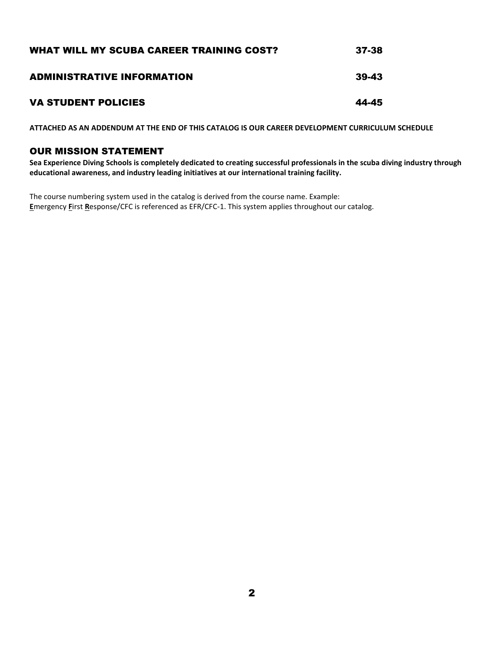| WHAT WILL MY SCUBA CAREER TRAINING COST? | 37-38 |
|------------------------------------------|-------|
| <b>ADMINISTRATIVE INFORMATION</b>        | 39-43 |
| <b>VA STUDENT POLICIES</b>               | 44-45 |

**ATTACHED AS AN ADDENDUM AT THE END OF THIS CATALOG IS OUR CAREER DEVELOPMENT CURRICULUM SCHEDULE**

#### OUR MISSION STATEMENT

**Sea Experience Diving Schools is completely dedicated to creating successful professionals in the scuba diving industry through educational awareness, and industry leading initiatives at our international training facility.**

The course numbering system used in the catalog is derived from the course name. Example: **E**mergency **F**irst **R**esponse/CFC is referenced as EFR/CFC-1. This system applies throughout our catalog.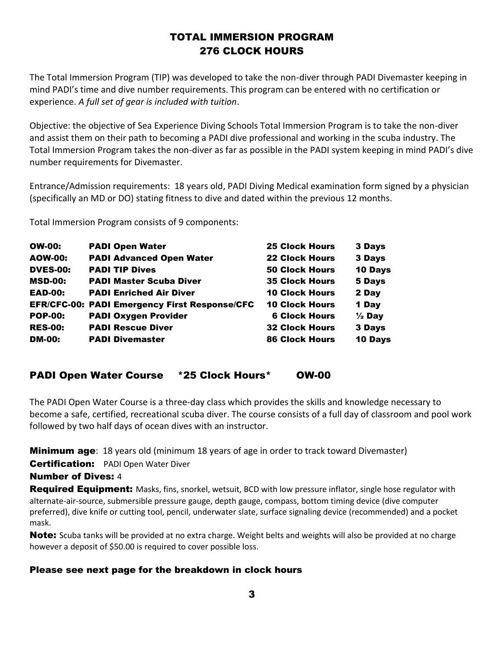### TOTAL IMMERSION PROGRAM 276 CLOCK HOURS

The Total Immersion Program (TIP) was developed to take the non-diver through PADI Divemaster keeping in mind PADI's time and dive number requirements. This program can be entered with no certification or experience. *A full set of gear is included with tuition*.

Objective: the objective of Sea Experience Diving Schools Total Immersion Program is to take the non-diver and assist them on their path to becoming a PADI dive professional and working in the scuba industry. The Total Immersion Program takes the non-diver as far as possible in the PADI system keeping in mind PADI's dive number requirements for Divemaster.

Entrance/Admission requirements: 18 years old, PADI Diving Medical examination form signed by a physician (specifically an MD or DO) stating fitness to dive and dated within the previous 12 months.

Total Immersion Program consists of 9 components:

| <b>OW-00:</b>   | <b>PADI Open Water</b>                               | <b>25 Clock Hours</b> | 3 Days            |
|-----------------|------------------------------------------------------|-----------------------|-------------------|
| <b>AOW-00:</b>  | <b>PADI Advanced Open Water</b>                      | <b>22 Clock Hours</b> | 3 Days            |
| <b>DVES-00:</b> | <b>PADI TIP Dives</b>                                | <b>50 Clock Hours</b> | 10 Days           |
| <b>MSD-00:</b>  | <b>PADI Master Scuba Diver</b>                       | <b>35 Clock Hours</b> | 5 Days            |
| <b>EAD-00:</b>  | <b>PADI Enriched Air Diver</b>                       | <b>10 Clock Hours</b> | 2 Day             |
|                 | <b>EFR/CFC-00: PADI Emergency First Response/CFC</b> | <b>10 Clock Hours</b> | 1 Day             |
| <b>POP-00:</b>  | <b>PADI Oxygen Provider</b>                          | <b>6 Clock Hours</b>  | $\frac{1}{2}$ Day |
| <b>RES-00:</b>  | <b>PADI Rescue Diver</b>                             | <b>32 Clock Hours</b> | 3 Days            |
| <b>DM-00:</b>   | <b>PADI Divemaster</b>                               | <b>86 Clock Hours</b> | 10 Days           |

#### PADI Open Water Course \*25 Clock Hours\* OW-00

The PADI Open Water Course is a three-day class which provides the skills and knowledge necessary to become a safe, certified, recreational scuba diver. The course consists of a full day of classroom and pool work followed by two half days of ocean dives with an instructor.

**Minimum age**: 18 years old (minimum 18 years of age in order to track toward Divemaster)

**Certification:** PADI Open Water Diver

#### Number of Dives: 4

**Required Equipment:** Masks, fins, snorkel, wetsuit, BCD with low pressure inflator, single hose regulator with alternate-air-source, submersible pressure gauge, depth gauge, compass, bottom timing device (dive computer preferred), dive knife or cutting tool, pencil, underwater slate, surface signaling device (recommended) and a pocket mask.

Note: Scuba tanks will be provided at no extra charge. Weight belts and weights will also be provided at no charge however a deposit of \$50.00 is required to cover possible loss.

#### Please see next page for the breakdown in clock hours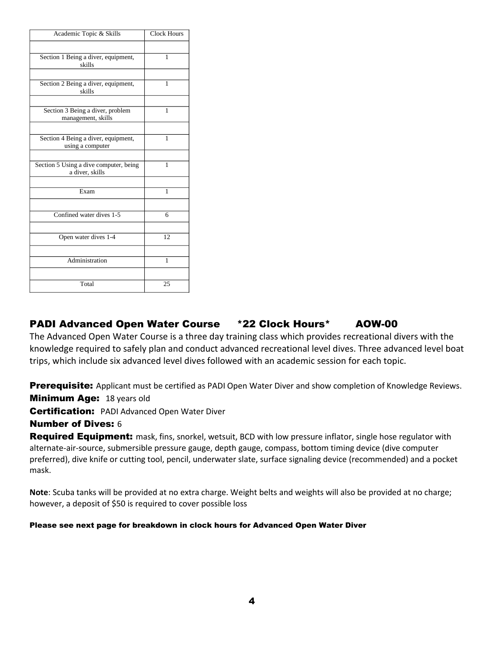| Academic Topic & Skills                                   | <b>Clock Hours</b> |
|-----------------------------------------------------------|--------------------|
|                                                           |                    |
| Section 1 Being a diver, equipment,<br>skills             | 1                  |
|                                                           |                    |
| Section 2 Being a diver, equipment,<br>skills             | 1                  |
|                                                           |                    |
| Section 3 Being a diver, problem<br>management, skills    | 1                  |
|                                                           |                    |
| Section 4 Being a diver, equipment,<br>using a computer   | 1                  |
|                                                           |                    |
| Section 5 Using a dive computer, being<br>a diver, skills | $\mathbf{1}$       |
|                                                           |                    |
| Exam                                                      | 1                  |
|                                                           |                    |
| Confined water dives 1-5                                  | 6                  |
|                                                           |                    |
| Open water dives 1-4                                      | 12                 |
|                                                           |                    |
| Administration                                            | $\mathbf{1}$       |
|                                                           |                    |
| Total                                                     | 25                 |

### PADI Advanced Open Water Course \*22 Clock Hours\* AOW-00

The Advanced Open Water Course is a three day training class which provides recreational divers with the knowledge required to safely plan and conduct advanced recreational level dives. Three advanced level boat trips, which include six advanced level dives followed with an academic session for each topic.

**Prerequisite:** Applicant must be certified as PADI Open Water Diver and show completion of Knowledge Reviews.

**Minimum Age: 18 years old** 

**Certification:** PADI Advanced Open Water Diver

#### Number of Dives: 6

Required Equipment: mask, fins, snorkel, wetsuit, BCD with low pressure inflator, single hose regulator with alternate-air-source, submersible pressure gauge, depth gauge, compass, bottom timing device (dive computer preferred), dive knife or cutting tool, pencil, underwater slate, surface signaling device (recommended) and a pocket mask.

**Note**: Scuba tanks will be provided at no extra charge. Weight belts and weights will also be provided at no charge; however, a deposit of \$50 is required to cover possible loss

#### Please see next page for breakdown in clock hours for Advanced Open Water Diver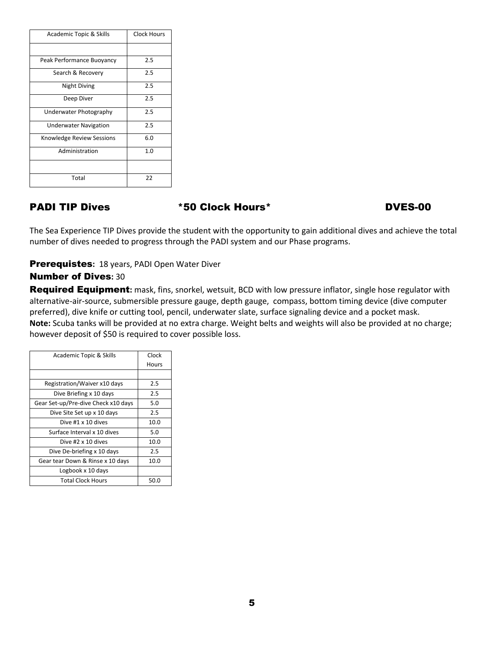| Academic Topic & Skills      | Clock Hours |
|------------------------------|-------------|
|                              |             |
| Peak Performance Buoyancy    | 2.5         |
| Search & Recovery            | 2.5         |
| Night Diving                 | 2.5         |
| Deep Diver                   | 2.5         |
| Underwater Photography       | 2.5         |
| <b>Underwater Navigation</b> | 2.5         |
| Knowledge Review Sessions    | 6.0         |
| Administration               | 1.0         |
|                              |             |
| Total                        | 22          |

PADI TIP Dives  $*50$  Clock Hours\* DVES-00

The Sea Experience TIP Dives provide the student with the opportunity to gain additional dives and achieve the total number of dives needed to progress through the PADI system and our Phase programs.

#### Prerequistes**:** 18 years, PADI Open Water Diver

#### Number of Dives**:** 30

Required Equipment**:** mask, fins, snorkel, wetsuit, BCD with low pressure inflator, single hose regulator with alternative-air-source, submersible pressure gauge, depth gauge, compass, bottom timing device (dive computer preferred), dive knife or cutting tool, pencil, underwater slate, surface signaling device and a pocket mask. **Note:** Scuba tanks will be provided at no extra charge. Weight belts and weights will also be provided at no charge; however deposit of \$50 is required to cover possible loss.

| Academic Topic & Skills             | Clock |
|-------------------------------------|-------|
|                                     | Hours |
|                                     |       |
| Registration/Waiver x10 days        | 2.5   |
| Dive Briefing x 10 days             | 2.5   |
| Gear Set-up/Pre-dive Check x10 days | 5.0   |
| Dive Site Set up x 10 days          | 2.5   |
| Dive #1 x 10 dives                  | 10.0  |
| Surface Interval x 10 dives         | 5.0   |
| Dive #2 x 10 dives                  | 10.0  |
| Dive De-briefing x 10 days          | 2.5   |
| Gear tear Down & Rinse x 10 days    | 10.0  |
| Logbook x 10 days                   |       |
| <b>Total Clock Hours</b>            | 50.0  |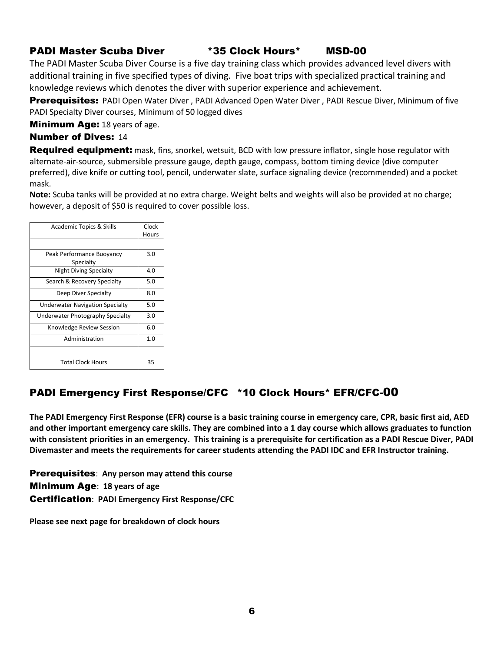#### PADI Master Scuba Diver \*35 Clock Hours\* MSD-00

The PADI Master Scuba Diver Course is a five day training class which provides advanced level divers with additional training in five specified types of diving. Five boat trips with specialized practical training and knowledge reviews which denotes the diver with superior experience and achievement.

Prerequisites: PADI Open Water Diver, PADI Advanced Open Water Diver, PADI Rescue Diver, Minimum of five PADI Specialty Diver courses, Minimum of 50 logged dives

**Minimum Age:** 18 years of age.

#### Number of Dives: 14

**Required equipment:** mask, fins, snorkel, wetsuit, BCD with low pressure inflator, single hose regulator with alternate-air-source, submersible pressure gauge, depth gauge, compass, bottom timing device (dive computer preferred), dive knife or cutting tool, pencil, underwater slate, surface signaling device (recommended) and a pocket mask.

**Note:** Scuba tanks will be provided at no extra charge. Weight belts and weights will also be provided at no charge; however, a deposit of \$50 is required to cover possible loss.

| <b>Academic Topics &amp; Skills</b>    | Clock |
|----------------------------------------|-------|
|                                        | Hours |
|                                        |       |
| Peak Performance Buoyancy              | 3.0   |
| Specialty                              |       |
| <b>Night Diving Specialty</b>          | 4.0   |
| Search & Recovery Specialty            | 5.0   |
| Deep Diver Specialty                   | 8.0   |
| <b>Underwater Navigation Specialty</b> | 5.0   |
| Underwater Photography Specialty       | 3.0   |
| Knowledge Review Session               | 6.0   |
| Administration                         | 1.0   |
|                                        |       |
| <b>Total Clock Hours</b>               | 35    |

### PADI Emergency First Response/CFC \*10 Clock Hours\* EFR/CFC-00

**The PADI Emergency First Response (EFR) course is a basic training course in emergency care, CPR, basic first aid, AED and other important emergency care skills. They are combined into a 1 day course which allows graduates to function with consistent priorities in an emergency. This training is a prerequisite for certification as a PADI Rescue Diver, PADI Divemaster and meets the requirements for career students attending the PADI IDC and EFR Instructor training.**

Prerequisites: **Any person may attend this course** Minimum Age: **18 years of age** Certification: **PADI Emergency First Response/CFC**

**Please see next page for breakdown of clock hours**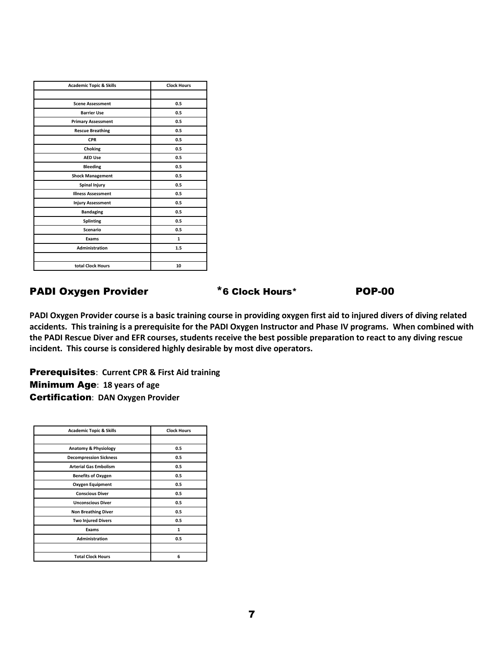| <b>Academic Topic &amp; Skills</b> | <b>Clock Hours</b> |
|------------------------------------|--------------------|
|                                    |                    |
| <b>Scene Assessment</b>            | 0.5                |
| <b>Barrier Use</b>                 | 0.5                |
| <b>Primary Assessment</b>          | 0.5                |
| <b>Rescue Breathing</b>            | 0.5                |
| <b>CPR</b>                         | 0.5                |
| Choking                            | 0.5                |
| <b>AED Use</b>                     | 0.5                |
| <b>Bleeding</b>                    | 0.5                |
| <b>Shock Management</b>            | 0.5                |
| <b>Spinal Injury</b>               | 0.5                |
| <b>Illness Assessment</b>          | 0.5                |
| <b>Injury Assessment</b>           | 0.5                |
| <b>Bandaging</b>                   | 0.5                |
| <b>Splinting</b>                   | 0.5                |
| <b>Scenario</b>                    | 0.5                |
| Exams                              | $\mathbf{1}$       |
| <b>Administration</b>              | 1.5                |
|                                    |                    |
| total Clock Hours                  | 10                 |

#### PADI Oxygen Provider  $*$ 6 Clock Hours\* POP-00

**PADI Oxygen Provider course is a basic training course in providing oxygen first aid to injured divers of diving related accidents. This training is a prerequisite for the PADI Oxygen Instructor and Phase IV programs. When combined with the PADI Rescue Diver and EFR courses, students receive the best possible preparation to react to any diving rescue incident. This course is considered highly desirable by most dive operators.**

Prerequisites: **Current CPR & First Aid training** Minimum Age: **18 years of age** Certification: **DAN Oxygen Provider**

| <b>Academic Topic &amp; Skills</b> | <b>Clock Hours</b> |
|------------------------------------|--------------------|
|                                    |                    |
| Anatomy & Physiology               | 0.5                |
| <b>Decompression Sickness</b>      | 0.5                |
| <b>Arterial Gas Embolism</b>       | 0.5                |
| <b>Benefits of Oxygen</b>          | 0.5                |
| <b>Oxygen Equipment</b>            | 0.5                |
| <b>Conscious Diver</b>             | 0.5                |
| <b>Unconscious Diver</b>           | 0.5                |
| <b>Non Breathing Diver</b>         | 0.5                |
| <b>Two Injured Divers</b>          | 0.5                |
| Exams                              | 1                  |
| <b>Administration</b>              | 0.5                |
|                                    |                    |
| <b>Total Clock Hours</b>           | 6                  |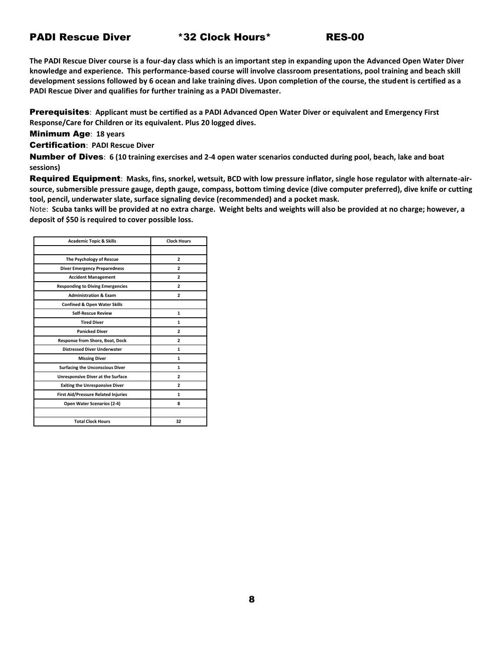#### PADI Rescue Diver \*32 Clock Hours\* RES-00

**The PADI Rescue Diver course is a four-day class which is an important step in expanding upon the Advanced Open Water Diver knowledge and experience. This performance-based course will involve classroom presentations, pool training and beach skill development sessions followed by 6 ocean and lake training dives. Upon completion of the course, the student is certified as a PADI Rescue Diver and qualifies for further training as a PADI Divemaster.**

Prerequisites: **Applicant must be certified as a PADI Advanced Open Water Diver or equivalent and Emergency First Response/Care for Children or its equivalent. Plus 20 logged dives.**

Minimum Age: **18 years**

Certification: **PADI Rescue Diver**

Number of Dives: **6 (10 training exercises and 2-4 open water scenarios conducted during pool, beach, lake and boat sessions)**

Required Equipment: **Masks, fins, snorkel, wetsuit, BCD with low pressure inflator, single hose regulator with alternate-airsource, submersible pressure gauge, depth gauge, compass, bottom timing device (dive computer preferred), dive knife or cutting tool, pencil, underwater slate, surface signaling device (recommended) and a pocket mask.**

Note: **Scuba tanks will be provided at no extra charge. Weight belts and weights will also be provided at no charge; however, a deposit of \$50 is required to cover possible loss.**

| <b>Academic Topic &amp; Skills</b>         | <b>Clock Hours</b> |
|--------------------------------------------|--------------------|
|                                            |                    |
| The Psychology of Rescue                   | $\overline{2}$     |
| <b>Diver Emergency Preparedness</b>        | $\overline{2}$     |
| <b>Accident Management</b>                 | $\overline{2}$     |
| <b>Responding to Diving Emergencies</b>    | $\overline{2}$     |
| <b>Administration &amp; Exam</b>           | 2                  |
| <b>Confined &amp; Open Water Skills</b>    |                    |
| <b>Self-Rescue Review</b>                  | $\mathbf{1}$       |
| <b>Tired Diver</b>                         | $\mathbf{1}$       |
| <b>Panicked Diver</b>                      | $\overline{2}$     |
| Response from Shore, Boat, Dock            | $\overline{2}$     |
| <b>Distressed Diver Underwater</b>         | $\mathbf{1}$       |
| <b>Missing Diver</b>                       | 1                  |
| <b>Surfacing the Unconscious Diver</b>     | $\mathbf{1}$       |
| <b>Unresponsive Diver at the Surface</b>   | $\overline{2}$     |
| <b>Exiting the Unresponsive Diver</b>      | $\overline{2}$     |
| <b>First Aid/Pressure Related Injuries</b> | 1                  |
| Open Water Scenarios (2-4)                 | 8                  |
|                                            |                    |
| <b>Total Clock Hours</b>                   | 32                 |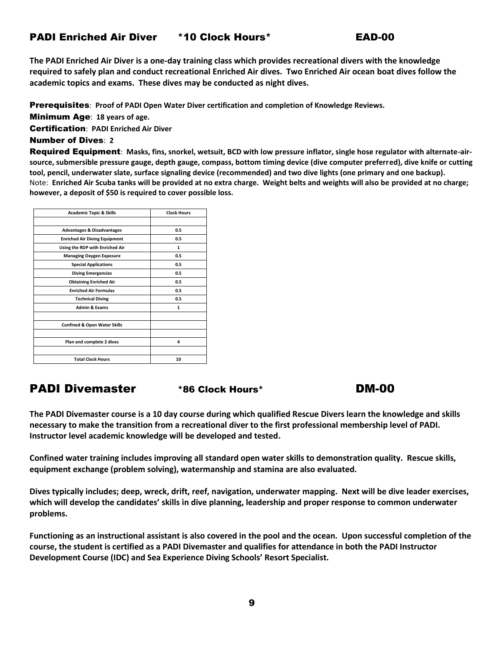#### PADI Enriched Air Diver \*10 Clock Hours\* EAD-00



**The PADI Enriched Air Diver is a one-day training class which provides recreational divers with the knowledge required to safely plan and conduct recreational Enriched Air dives. Two Enriched Air ocean boat dives follow the academic topics and exams. These dives may be conducted as night dives.**

Prerequisites: **Proof of PADI Open Water Diver certification and completion of Knowledge Reviews.**

Minimum Age: **18 years of age.**

Certification: **PADI Enriched Air Diver**

#### Number of Dives: **2**

Required Equipment: **Masks, fins, snorkel, wetsuit, BCD with low pressure inflator, single hose regulator with alternate-airsource, submersible pressure gauge, depth gauge, compass, bottom timing device (dive computer preferred), dive knife or cutting tool, pencil, underwater slate, surface signaling device (recommended) and two dive lights (one primary and one backup).** Note: **Enriched Air Scuba tanks will be provided at no extra charge. Weight belts and weights will also be provided at no charge; however, a deposit of \$50 is required to cover possible loss.**

| <b>Academic Topic &amp; Skills</b>      | <b>Clock Hours</b> |
|-----------------------------------------|--------------------|
|                                         |                    |
| <b>Advantages &amp; Disadvantages</b>   | 0.5                |
| <b>Enriched Air Diving Equipment</b>    | 0.5                |
| Using the RDP with Enriched Air         | 1                  |
| <b>Managing Oxygen Exposure</b>         | 0.5                |
| <b>Special Applications</b>             | 0.5                |
| <b>Diving Emergencies</b>               | 0.5                |
| <b>Obtaining Enriched Air</b>           | 0.5                |
| <b>Enriched Air Formulas</b>            | 0.5                |
| <b>Technical Diving</b>                 | 0.5                |
| <b>Admin &amp; Exams</b>                | 1                  |
| <b>Confined &amp; Open Water Skills</b> |                    |
| Plan and complete 2 dives               | 4                  |
| <b>Total Clock Hours</b>                | 10                 |

### PADI Divemaster \*86 Clock Hours\* DM-00

**The PADI Divemaster course is a 10 day course during which qualified Rescue Divers learn the knowledge and skills necessary to make the transition from a recreational diver to the first professional membership level of PADI. Instructor level academic knowledge will be developed and tested.**

**Confined water training includes improving all standard open water skills to demonstration quality. Rescue skills, equipment exchange (problem solving), watermanship and stamina are also evaluated.**

**Dives typically includes; deep, wreck, drift, reef, navigation, underwater mapping. Next will be dive leader exercises, which will develop the candidates' skills in dive planning, leadership and proper response to common underwater problems.**

**Functioning as an instructional assistant is also covered in the pool and the ocean. Upon successful completion of the course, the student is certified as a PADI Divemaster and qualifies for attendance in both the PADI Instructor Development Course (IDC) and Sea Experience Diving Schools' Resort Specialist.**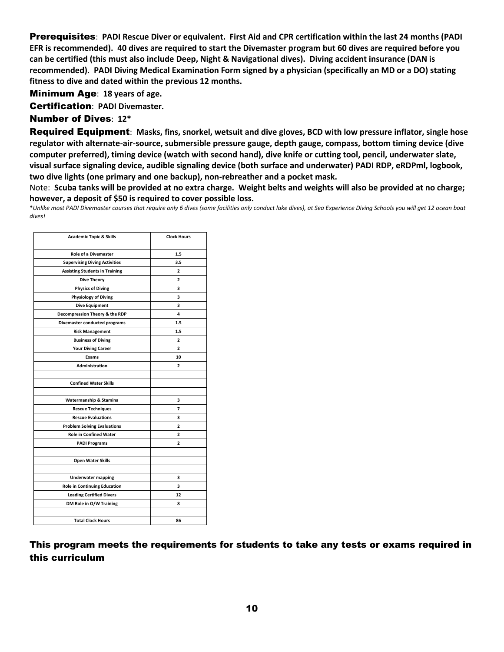Prerequisites: **PADI Rescue Diver or equivalent. First Aid and CPR certification within the last 24 months (PADI EFR is recommended). 40 dives are required to start the Divemaster program but 60 dives are required before you can be certified (this must also include Deep, Night & Navigational dives). Diving accident insurance (DAN is recommended). PADI Diving Medical Examination Form signed by a physician (specifically an MD or a DO) stating fitness to dive and dated within the previous 12 months.**

Minimum Age: **18 years of age.**

Certification: **PADI Divemaster.**

#### Number of Dives: **12\***

Required Equipment: **Masks, fins, snorkel, wetsuit and dive gloves, BCD with low pressure inflator, single hose regulator with alternate-air-source, submersible pressure gauge, depth gauge, compass, bottom timing device (dive computer preferred), timing device (watch with second hand), dive knife or cutting tool, pencil, underwater slate, visual surface signaling device, audible signaling device (both surface and underwater) PADI RDP, eRDPml, logbook, two dive lights (one primary and one backup), non-rebreather and a pocket mask.**

Note: **Scuba tanks will be provided at no extra charge. Weight belts and weights will also be provided at no charge; however, a deposit of \$50 is required to cover possible loss.**

**\****Unlike most PADI Divemaster courses that require only 6 dives (some facilities only conduct lake dives), at Sea Experience Diving Schools you will get 12 ocean boat dives!*

| <b>Academic Topic &amp; Skills</b>    | <b>Clock Hours</b> |
|---------------------------------------|--------------------|
|                                       |                    |
| <b>Role of a Divemaster</b>           | 1.5                |
| <b>Supervising Diving Activities</b>  | 3.5                |
| <b>Assisting Students in Training</b> | 2                  |
| <b>Dive Theory</b>                    | $\overline{a}$     |
| <b>Physics of Diving</b>              | 3                  |
| <b>Physiology of Diving</b>           | 3                  |
| <b>Dive Equipment</b>                 | 3                  |
| Decompression Theory & the RDP        | 4                  |
| Divemaster conducted programs         | 1.5                |
| <b>Risk Management</b>                | 1.5                |
| <b>Business of Diving</b>             | 2                  |
| <b>Your Diving Career</b>             | $\overline{a}$     |
| Exams                                 | 10                 |
| <b>Administration</b>                 | $\overline{a}$     |
|                                       |                    |
| <b>Confined Water Skills</b>          |                    |
|                                       |                    |
| Watermanship & Stamina                | 3                  |
| <b>Rescue Techniques</b>              | 7                  |
| <b>Rescue Evaluations</b>             | 3                  |
| <b>Problem Solving Evaluations</b>    | $\overline{a}$     |
| <b>Role in Confined Water</b>         | $\overline{a}$     |
| <b>PADI Programs</b>                  | $\overline{2}$     |
|                                       |                    |
| <b>Open Water Skills</b>              |                    |
|                                       |                    |
| <b>Underwater mapping</b>             | 3                  |
| <b>Role in Continuing Education</b>   | 3                  |
| <b>Leading Certified Divers</b>       | 12                 |
| DM Role in O/W Training               | 8                  |
|                                       |                    |
| <b>Total Clock Hours</b>              | 86                 |
|                                       |                    |

This program meets the requirements for students to take any tests or exams required in this curriculum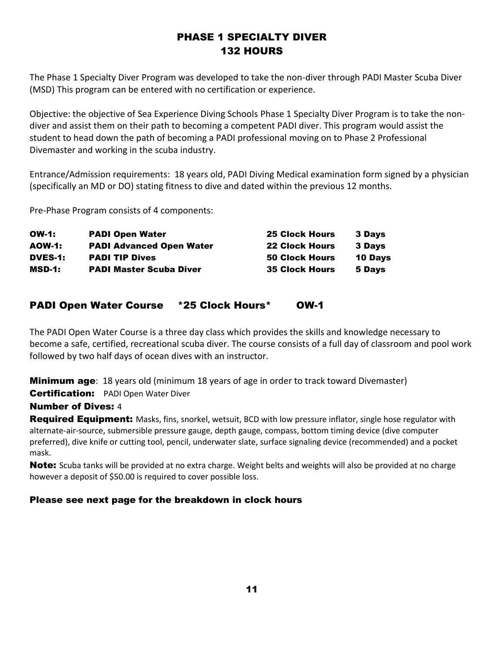### PHASE 1 SPECIALTY DIVER 132 HOURS

The Phase 1 Specialty Diver Program was developed to take the non-diver through PADI Master Scuba Diver (MSD) This program can be entered with no certification or experience.

Objective: the objective of Sea Experience Diving Schools Phase 1 Specialty Diver Program is to take the nondiver and assist them on their path to becoming a competent PADI diver. This program would assist the student to head down the path of becoming a PADI professional moving on to Phase 2 Professional Divemaster and working in the scuba industry.

Entrance/Admission requirements: 18 years old, PADI Diving Medical examination form signed by a physician (specifically an MD or DO) stating fitness to dive and dated within the previous 12 months.

Pre-Phase Program consists of 4 components:

| <b>OW-1:</b>  | <b>PADI Open Water</b>          | <b>25 Clock Hours</b> | <b>3 Days</b>  |
|---------------|---------------------------------|-----------------------|----------------|
| <b>AOW-1:</b> | <b>PADI Advanced Open Water</b> | <b>22 Clock Hours</b> | <b>3 Davs</b>  |
| DVES-1:       | <b>PADI TIP Dives</b>           | <b>50 Clock Hours</b> | <b>10 Days</b> |
| MSD-1:        | <b>PADI Master Scuba Diver</b>  | <b>35 Clock Hours</b> | 5 Days         |

#### PADI Open Water Course \*25 Clock Hours\* OW-1

The PADI Open Water Course is a three day class which provides the skills and knowledge necessary to become a safe, certified, recreational scuba diver. The course consists of a full day of classroom and pool work followed by two half days of ocean dives with an instructor.

Minimum age: 18 years old (minimum 18 years of age in order to track toward Divemaster)

### **Certification:** PADI Open Water Diver

#### Number of Dives: 4

**Required Equipment:** Masks, fins, snorkel, wetsuit, BCD with low pressure inflator, single hose regulator with alternate-air-source, submersible pressure gauge, depth gauge, compass, bottom timing device (dive computer preferred), dive knife or cutting tool, pencil, underwater slate, surface signaling device (recommended) and a pocket mask.

**Note:** Scuba tanks will be provided at no extra charge. Weight belts and weights will also be provided at no charge however a deposit of \$50.00 is required to cover possible loss.

#### Please see next page for the breakdown in clock hours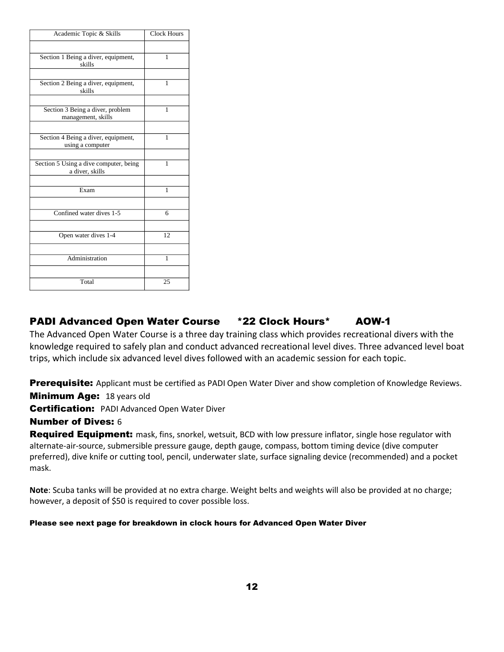| Academic Topic & Skills                                   | <b>Clock Hours</b> |
|-----------------------------------------------------------|--------------------|
|                                                           |                    |
| Section 1 Being a diver, equipment,<br>skills             | 1                  |
|                                                           |                    |
| Section 2 Being a diver, equipment,<br>skills             | 1                  |
|                                                           |                    |
| Section 3 Being a diver, problem<br>management, skills    | 1                  |
|                                                           |                    |
| Section 4 Being a diver, equipment,<br>using a computer   | 1                  |
|                                                           |                    |
| Section 5 Using a dive computer, being<br>a diver, skills | $\mathbf{1}$       |
|                                                           |                    |
| Exam                                                      | 1                  |
|                                                           |                    |
| Confined water dives 1-5                                  | 6                  |
|                                                           |                    |
| Open water dives 1-4                                      | 12 <sub>1</sub>    |
|                                                           |                    |
| Administration                                            | 1                  |
|                                                           |                    |
| Total                                                     | 25                 |

### PADI Advanced Open Water Course \*22 Clock Hours\* AOW-1

The Advanced Open Water Course is a three day training class which provides recreational divers with the knowledge required to safely plan and conduct advanced recreational level dives. Three advanced level boat trips, which include six advanced level dives followed with an academic session for each topic.

**Prerequisite:** Applicant must be certified as PADI Open Water Diver and show completion of Knowledge Reviews.

**Minimum Age: 18 years old** 

**Certification:** PADI Advanced Open Water Diver

#### Number of Dives: 6

Required Equipment: mask, fins, snorkel, wetsuit, BCD with low pressure inflator, single hose regulator with alternate-air-source, submersible pressure gauge, depth gauge, compass, bottom timing device (dive computer preferred), dive knife or cutting tool, pencil, underwater slate, surface signaling device (recommended) and a pocket mask.

**Note**: Scuba tanks will be provided at no extra charge. Weight belts and weights will also be provided at no charge; however, a deposit of \$50 is required to cover possible loss.

#### Please see next page for breakdown in clock hours for Advanced Open Water Diver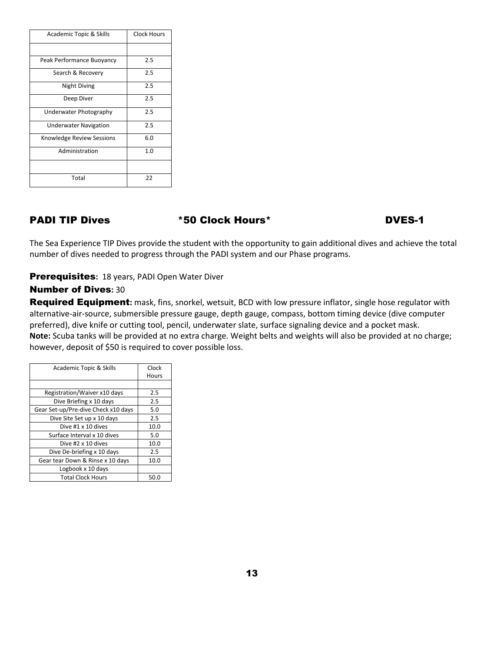| Academic Topic & Skills      | Clock Hours |
|------------------------------|-------------|
|                              |             |
| Peak Performance Buoyancy    | 2.5         |
| Search & Recovery            | 2.5         |
| Night Diving                 | 2.5         |
| Deep Diver                   | 2.5         |
| Underwater Photography       | 2.5         |
| <b>Underwater Navigation</b> | 2.5         |
| Knowledge Review Sessions    | 6.0         |
| Administration               | 1.0         |
|                              |             |
| Total                        | 22          |

#### PADI TIP Dives  $*50$  Clock Hours\* The DVES-1

The Sea Experience TIP Dives provide the student with the opportunity to gain additional dives and achieve the total number of dives needed to progress through the PADI system and our Phase programs.

#### Prerequisites**:** 18 years, PADI Open Water Diver

#### Number of Dives**:** 30

Required Equipment**:** mask, fins, snorkel, wetsuit, BCD with low pressure inflator, single hose regulator with alternative-air-source, submersible pressure gauge, depth gauge, compass, bottom timing device (dive computer preferred), dive knife or cutting tool, pencil, underwater slate, surface signaling device and a pocket mask. **Note:** Scuba tanks will be provided at no extra charge. Weight belts and weights will also be provided at no charge; however, deposit of \$50 is required to cover possible loss.

| Academic Topic & Skills             | Clock |
|-------------------------------------|-------|
|                                     | Hours |
|                                     |       |
| Registration/Waiver x10 days        | 2.5   |
| Dive Briefing x 10 days             | 2.5   |
| Gear Set-up/Pre-dive Check x10 days | 5.0   |
| Dive Site Set up x 10 days          | 2.5   |
| Dive #1 x 10 dives                  | 10.0  |
| Surface Interval x 10 dives         | 5.0   |
| Dive #2 x 10 dives                  | 10.0  |
| Dive De-briefing x 10 days          | 2.5   |
| Gear tear Down & Rinse x 10 days    | 10.0  |
| Logbook x 10 days                   |       |
| <b>Total Clock Hours</b>            | 50.C  |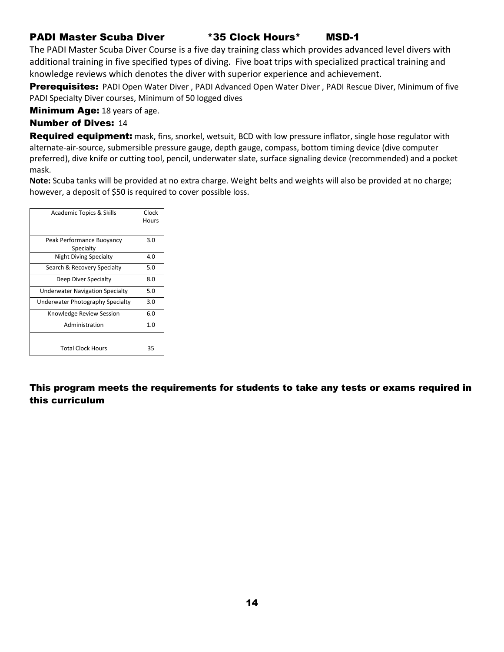#### PADI Master Scuba Diver \*35 Clock Hours\* MSD-1

The PADI Master Scuba Diver Course is a five day training class which provides advanced level divers with additional training in five specified types of diving. Five boat trips with specialized practical training and knowledge reviews which denotes the diver with superior experience and achievement.

Prerequisites: PADI Open Water Diver, PADI Advanced Open Water Diver, PADI Rescue Diver, Minimum of five PADI Specialty Diver courses, Minimum of 50 logged dives

**Minimum Age:** 18 years of age.

#### Number of Dives: 14

Required equipment: mask, fins, snorkel, wetsuit, BCD with low pressure inflator, single hose regulator with alternate-air-source, submersible pressure gauge, depth gauge, compass, bottom timing device (dive computer preferred), dive knife or cutting tool, pencil, underwater slate, surface signaling device (recommended) and a pocket mask.

**Note:** Scuba tanks will be provided at no extra charge. Weight belts and weights will also be provided at no charge; however, a deposit of \$50 is required to cover possible loss.

| Academic Topics & Skills               | Clock |
|----------------------------------------|-------|
|                                        | Hours |
|                                        |       |
| Peak Performance Buoyancy              | 3.0   |
| Specialty                              |       |
| <b>Night Diving Specialty</b>          | 4.0   |
| Search & Recovery Specialty            | 5.0   |
| Deep Diver Specialty                   | 8.0   |
| <b>Underwater Navigation Specialty</b> | 5.0   |
| Underwater Photography Specialty       | 3.0   |
| Knowledge Review Session               | 6.0   |
| Administration                         | 1.0   |
|                                        |       |
| <b>Total Clock Hours</b>               | 35    |

This program meets the requirements for students to take any tests or exams required in this curriculum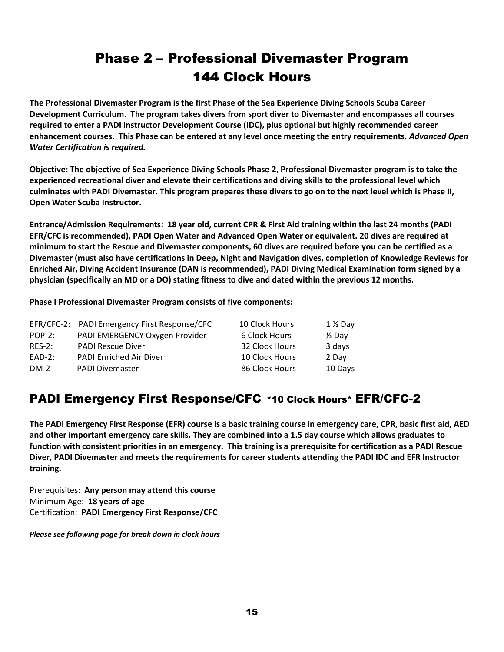## Phase 2 – Professional Divemaster Program 144 Clock Hours

**The Professional Divemaster Program is the first Phase of the Sea Experience Diving Schools Scuba Career Development Curriculum. The program takes divers from sport diver to Divemaster and encompasses all courses required to enter a PADI Instructor Development Course (IDC), plus optional but highly recommended career enhancement courses. This Phase can be entered at any level once meeting the entry requirements.** *Advanced Open Water Certification is required.*

**Objective: The objective of Sea Experience Diving Schools Phase 2, Professional Divemaster program is to take the experienced recreational diver and elevate their certifications and diving skills to the professional level which culminates with PADI Divemaster. This program prepares these divers to go on to the next level which is Phase II, Open Water Scuba Instructor.**

**Entrance/Admission Requirements: 18 year old, current CPR & First Aid training within the last 24 months (PADI EFR/CFC is recommended), PADI Open Water and Advanced Open Water or equivalent. 20 dives are required at minimum to start the Rescue and Divemaster components, 60 dives are required before you can be certified as a Divemaster (must also have certifications in Deep, Night and Navigation dives, completion of Knowledge Reviews for Enriched Air, Diving Accident Insurance (DAN is recommended), PADI Diving Medical Examination form signed by a physician (specifically an MD or a DO) stating fitness to dive and dated within the previous 12 months.**

**Phase I Professional Divemaster Program consists of five components:**

|           | EFR/CFC-2: PADI Emergency First Response/CFC | 10 Clock Hours | $1\%$ Day         |
|-----------|----------------------------------------------|----------------|-------------------|
| $POP-2$ : | PADI EMERGENCY Oxygen Provider               | 6 Clock Hours  | $\frac{1}{2}$ Day |
| $RFS-2:$  | <b>PADI Rescue Diver</b>                     | 32 Clock Hours | 3 days            |
| $EAD-2$ : | PADI Enriched Air Diver                      | 10 Clock Hours | 2 Dav             |
| $DM-2$    | <b>PADI Divemaster</b>                       | 86 Clock Hours | 10 Days           |

### PADI Emergency First Response/CFC \*10 Clock Hours\* EFR/CFC-2

**The PADI Emergency First Response (EFR) course is a basic training course in emergency care, CPR, basic first aid, AED and other important emergency care skills. They are combined into a 1.5 day course which allows graduates to function with consistent priorities in an emergency. This training is a prerequisite for certification as a PADI Rescue Diver, PADI Divemaster and meets the requirements for career students attending the PADI IDC and EFR Instructor training.**

Prerequisites: **Any person may attend this course** Minimum Age: **18 years of age** Certification: **PADI Emergency First Response/CFC**

*Please see following page for break down in clock hours*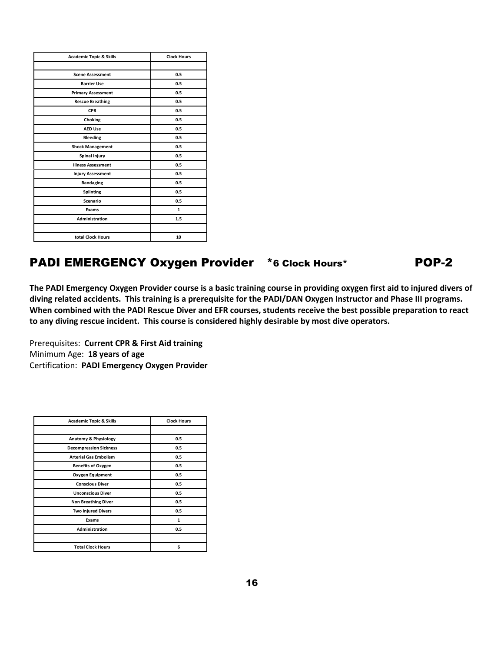| <b>Academic Topic &amp; Skills</b> | <b>Clock Hours</b> |
|------------------------------------|--------------------|
|                                    |                    |
| <b>Scene Assessment</b>            | 0.5                |
| <b>Barrier Use</b>                 | 0.5                |
| <b>Primary Assessment</b>          | 0.5                |
| <b>Rescue Breathing</b>            | 0.5                |
| <b>CPR</b>                         | 0.5                |
| Choking                            | 0.5                |
| <b>AED Use</b>                     | 0.5                |
| <b>Bleeding</b>                    | 0.5                |
| <b>Shock Management</b>            | 0.5                |
| <b>Spinal Injury</b>               | 0.5                |
| <b>Illness Assessment</b>          | 0.5                |
| <b>Injury Assessment</b>           | 0.5                |
| <b>Bandaging</b>                   | 0.5                |
| <b>Splinting</b>                   | 0.5                |
| Scenario                           | 0.5                |
| Exams                              | $\mathbf{1}$       |
| Administration                     | 1.5                |
|                                    |                    |
| total Clock Hours                  | 10                 |

### PADI EMERGENCY Oxygen Provider \*6 Clock Hours\* POP-2

**The PADI Emergency Oxygen Provider course is a basic training course in providing oxygen first aid to injured divers of diving related accidents. This training is a prerequisite for the PADI/DAN Oxygen Instructor and Phase III programs. When combined with the PADI Rescue Diver and EFR courses, students receive the best possible preparation to react to any diving rescue incident. This course is considered highly desirable by most dive operators.**

Prerequisites: **Current CPR & First Aid training** Minimum Age: **18 years of age** Certification: **PADI Emergency Oxygen Provider**

| <b>Academic Topic &amp; Skills</b> | <b>Clock Hours</b> |
|------------------------------------|--------------------|
|                                    |                    |
| Anatomy & Physiology               | 0.5                |
| <b>Decompression Sickness</b>      | 0.5                |
| <b>Arterial Gas Embolism</b>       | 0.5                |
| <b>Benefits of Oxygen</b>          | 0.5                |
| <b>Oxygen Equipment</b>            | 0.5                |
| <b>Conscious Diver</b>             | 0.5                |
| <b>Unconscious Diver</b>           | 0.5                |
| <b>Non Breathing Diver</b>         | 0.5                |
| <b>Two Injured Divers</b>          | 0.5                |
| Exams                              | $\mathbf{1}$       |
| <b>Administration</b>              | 0.5                |
|                                    |                    |
| <b>Total Clock Hours</b>           | 6                  |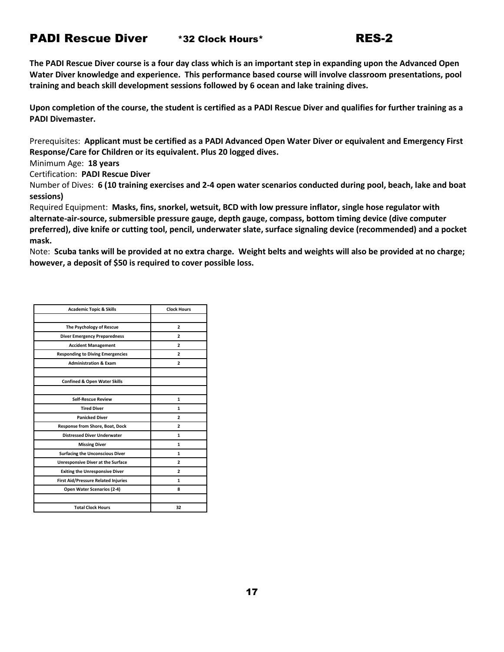#### PADI Rescue Diver \*32 Clock Hours\* RES-2

**The PADI Rescue Diver course is a four day class which is an important step in expanding upon the Advanced Open Water Diver knowledge and experience. This performance based course will involve classroom presentations, pool training and beach skill development sessions followed by 6 ocean and lake training dives.**

**Upon completion of the course, the student is certified as a PADI Rescue Diver and qualifies for further training as a PADI Divemaster.**

Prerequisites: **Applicant must be certified as a PADI Advanced Open Water Diver or equivalent and Emergency First Response/Care for Children or its equivalent. Plus 20 logged dives.**

Minimum Age: **18 years**

Certification: **PADI Rescue Diver**

Number of Dives: **6 (10 training exercises and 2-4 open water scenarios conducted during pool, beach, lake and boat sessions)**

Required Equipment: **Masks, fins, snorkel, wetsuit, BCD with low pressure inflator, single hose regulator with alternate-air-source, submersible pressure gauge, depth gauge, compass, bottom timing device (dive computer preferred), dive knife or cutting tool, pencil, underwater slate, surface signaling device (recommended) and a pocket mask.**

Note: **Scuba tanks will be provided at no extra charge. Weight belts and weights will also be provided at no charge; however, a deposit of \$50 is required to cover possible loss.**

| <b>Academic Topic &amp; Skills</b>         | <b>Clock Hours</b> |
|--------------------------------------------|--------------------|
|                                            |                    |
| The Psychology of Rescue                   | $\overline{2}$     |
| <b>Diver Emergency Preparedness</b>        | $\overline{2}$     |
| <b>Accident Management</b>                 | $\overline{2}$     |
| <b>Responding to Diving Emergencies</b>    | 2                  |
| <b>Administration &amp; Exam</b>           | $\overline{2}$     |
|                                            |                    |
| <b>Confined &amp; Open Water Skills</b>    |                    |
|                                            |                    |
| <b>Self-Rescue Review</b>                  | 1                  |
| <b>Tired Diver</b>                         | 1                  |
| <b>Panicked Diver</b>                      | $\overline{2}$     |
| Response from Shore, Boat, Dock            | $\overline{2}$     |
| <b>Distressed Diver Underwater</b>         | 1                  |
| <b>Missing Diver</b>                       | 1                  |
| <b>Surfacing the Unconscious Diver</b>     | 1                  |
| <b>Unresponsive Diver at the Surface</b>   | $\overline{2}$     |
| <b>Exiting the Unresponsive Diver</b>      | 2                  |
| <b>First Aid/Pressure Related Injuries</b> | 1                  |
| Open Water Scenarios (2-4)                 | 8                  |
|                                            |                    |
| <b>Total Clock Hours</b>                   | 32                 |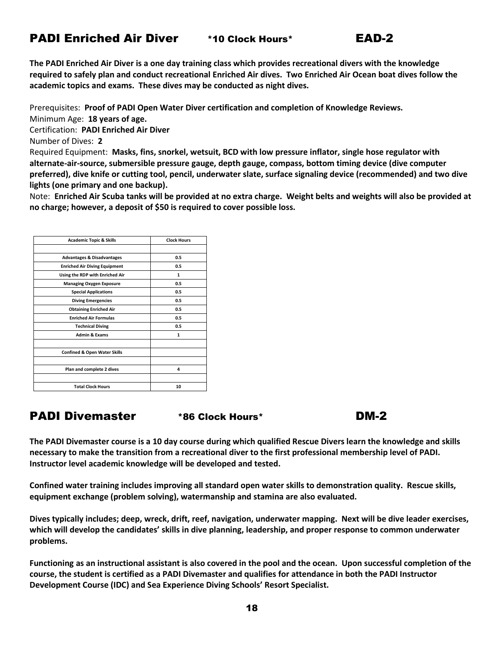### PADI Enriched Air Diver \*10 Clock Hours\* EAD-2

**The PADI Enriched Air Diver is a one day training class which provides recreational divers with the knowledge required to safely plan and conduct recreational Enriched Air dives. Two Enriched Air Ocean boat dives follow the academic topics and exams. These dives may be conducted as night dives.**

Prerequisites: **Proof of PADI Open Water Diver certification and completion of Knowledge Reviews.**

Minimum Age: **18 years of age.**

Certification: **PADI Enriched Air Diver**

Number of Dives: **2** 

Required Equipment: **Masks, fins, snorkel, wetsuit, BCD with low pressure inflator, single hose regulator with alternate-air-source, submersible pressure gauge, depth gauge, compass, bottom timing device (dive computer preferred), dive knife or cutting tool, pencil, underwater slate, surface signaling device (recommended) and two dive lights (one primary and one backup).**

Note: **Enriched Air Scuba tanks will be provided at no extra charge. Weight belts and weights will also be provided at no charge; however, a deposit of \$50 is required to cover possible loss.**

| <b>Academic Topic &amp; Skills</b>      | <b>Clock Hours</b> |
|-----------------------------------------|--------------------|
|                                         |                    |
| <b>Advantages &amp; Disadvantages</b>   | 0.5                |
| <b>Enriched Air Diving Equipment</b>    | 0.5                |
| Using the RDP with Enriched Air         | 1                  |
| <b>Managing Oxygen Exposure</b>         | 0.5                |
| <b>Special Applications</b>             | 0.5                |
| <b>Diving Emergencies</b>               | 0.5                |
| <b>Obtaining Enriched Air</b>           | 0.5                |
| <b>Enriched Air Formulas</b>            | 0.5                |
| <b>Technical Diving</b>                 | 0.5                |
| <b>Admin &amp; Exams</b>                | 1                  |
| <b>Confined &amp; Open Water Skills</b> |                    |
| Plan and complete 2 dives               | 4                  |
| <b>Total Clock Hours</b>                | 10                 |

### PADI Divemaster \*86 Clock Hours\* DM-2

**The PADI Divemaster course is a 10 day course during which qualified Rescue Divers learn the knowledge and skills necessary to make the transition from a recreational diver to the first professional membership level of PADI. Instructor level academic knowledge will be developed and tested.**

**Confined water training includes improving all standard open water skills to demonstration quality. Rescue skills, equipment exchange (problem solving), watermanship and stamina are also evaluated.**

**Dives typically includes; deep, wreck, drift, reef, navigation, underwater mapping. Next will be dive leader exercises, which will develop the candidates' skills in dive planning, leadership, and proper response to common underwater problems.**

**Functioning as an instructional assistant is also covered in the pool and the ocean. Upon successful completion of the course, the student is certified as a PADI Divemaster and qualifies for attendance in both the PADI Instructor Development Course (IDC) and Sea Experience Diving Schools' Resort Specialist.**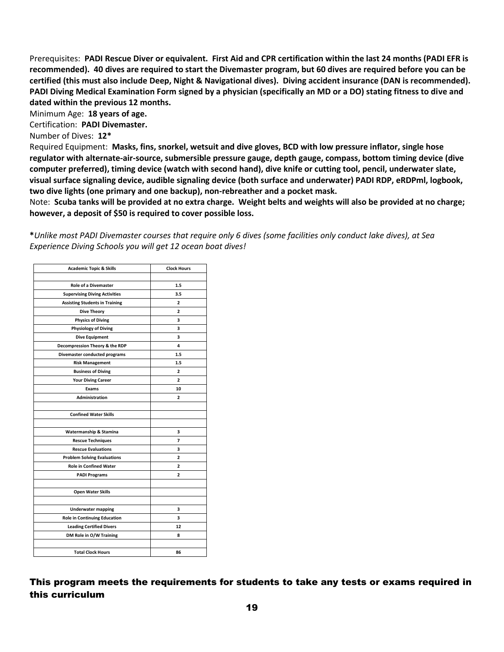Prerequisites: **PADI Rescue Diver or equivalent. First Aid and CPR certification within the last 24 months (PADI EFR is recommended). 40 dives are required to start the Divemaster program, but 60 dives are required before you can be certified (this must also include Deep, Night & Navigational dives). Diving accident insurance (DAN is recommended). PADI Diving Medical Examination Form signed by a physician (specifically an MD or a DO) stating fitness to dive and dated within the previous 12 months.**

Minimum Age: **18 years of age.**

Certification: **PADI Divemaster.**

Number of Dives: **12\***

Required Equipment: **Masks, fins, snorkel, wetsuit and dive gloves, BCD with low pressure inflator, single hose regulator with alternate-air-source, submersible pressure gauge, depth gauge, compass, bottom timing device (dive computer preferred), timing device (watch with second hand), dive knife or cutting tool, pencil, underwater slate, visual surface signaling device, audible signaling device (both surface and underwater) PADI RDP, eRDPml, logbook, two dive lights (one primary and one backup), non-rebreather and a pocket mask.**

Note: **Scuba tanks will be provided at no extra charge. Weight belts and weights will also be provided at no charge; however, a deposit of \$50 is required to cover possible loss.**

**\****Unlike most PADI Divemaster courses that require only 6 dives (some facilities only conduct lake dives), at Sea Experience Diving Schools you will get 12 ocean boat dives!*

| <b>Academic Topic &amp; Skills</b>                         | <b>Clock Hours</b> |
|------------------------------------------------------------|--------------------|
| <b>Role of a Divemaster</b>                                | 1.5                |
| <b>Supervising Diving Activities</b>                       | 3.5                |
| <b>Assisting Students in Training</b>                      | $\overline{2}$     |
| <b>Dive Theory</b>                                         | $\overline{a}$     |
| <b>Physics of Diving</b>                                   | 3                  |
| <b>Physiology of Diving</b>                                | 3                  |
| <b>Dive Equipment</b>                                      | 3                  |
| Decompression Theory & the RDP                             | 4                  |
| Divemaster conducted programs                              | 1.5                |
| <b>Risk Management</b>                                     | 1.5                |
| <b>Business of Diving</b>                                  | $\overline{2}$     |
| <b>Your Diving Career</b>                                  | 2                  |
| Exams                                                      | 10                 |
| <b>Administration</b>                                      | $\overline{2}$     |
|                                                            |                    |
| <b>Confined Water Skills</b>                               |                    |
|                                                            |                    |
| Watermanship & Stamina                                     | 3                  |
| <b>Rescue Techniques</b>                                   | 7                  |
| <b>Rescue Evaluations</b>                                  | 3                  |
| <b>Problem Solving Evaluations</b>                         | $\overline{a}$     |
| <b>Role in Confined Water</b>                              | 2                  |
| <b>PADI Programs</b>                                       | $\overline{2}$     |
| <b>Open Water Skills</b>                                   |                    |
| <b>Underwater mapping</b>                                  | 3                  |
| <b>Role in Continuing Education</b>                        | 3                  |
|                                                            | 12                 |
| <b>Leading Certified Divers</b><br>DM Role in O/W Training | 8                  |
|                                                            |                    |
| <b>Total Clock Hours</b>                                   | 86                 |

This program meets the requirements for students to take any tests or exams required in this curriculum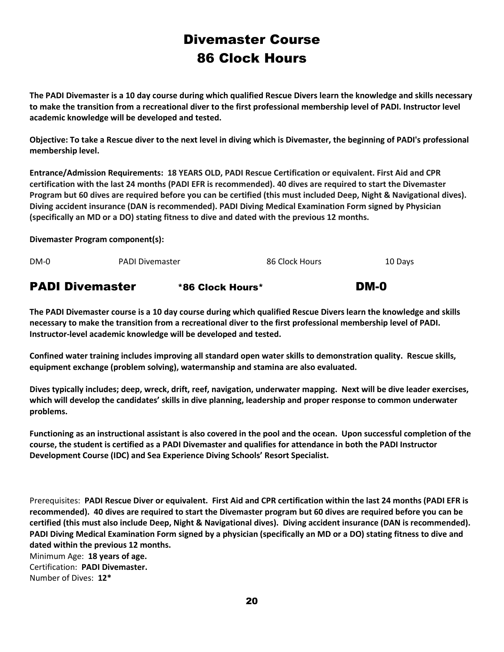## Divemaster Course 86 Clock Hours

**The PADI Divemaster is a 10 day course during which qualified Rescue Divers learn the knowledge and skills necessary to make the transition from a recreational diver to the first professional membership level of PADI. Instructor level academic knowledge will be developed and tested.** 

**Objective: To take a Rescue diver to the next level in diving which is Divemaster, the beginning of PADI's professional membership level.**

**Entrance/Admission Requirements: 18 YEARS OLD, PADI Rescue Certification or equivalent. First Aid and CPR certification with the last 24 months (PADI EFR is recommended). 40 dives are required to start the Divemaster Program but 60 dives are required before you can be certified (this must included Deep, Night & Navigational dives). Diving accident insurance (DAN is recommended). PADI Diving Medical Examination Form signed by Physician (specifically an MD or a DO) stating fitness to dive and dated with the previous 12 months.**

**Divemaster Program component(s):**

| <b>PADI Divemaster</b> |                        | *86 Clock Hours* |                | DM-0    |
|------------------------|------------------------|------------------|----------------|---------|
| $DM-0$                 | <b>PADI Divemaster</b> |                  | 86 Clock Hours | 10 Days |

**The PADI Divemaster course is a 10 day course during which qualified Rescue Divers learn the knowledge and skills necessary to make the transition from a recreational diver to the first professional membership level of PADI. Instructor-level academic knowledge will be developed and tested.**

**Confined water training includes improving all standard open water skills to demonstration quality. Rescue skills, equipment exchange (problem solving), watermanship and stamina are also evaluated.**

**Dives typically includes; deep, wreck, drift, reef, navigation, underwater mapping. Next will be dive leader exercises, which will develop the candidates' skills in dive planning, leadership and proper response to common underwater problems.**

**Functioning as an instructional assistant is also covered in the pool and the ocean. Upon successful completion of the course, the student is certified as a PADI Divemaster and qualifies for attendance in both the PADI Instructor Development Course (IDC) and Sea Experience Diving Schools' Resort Specialist.**

Prerequisites: **PADI Rescue Diver or equivalent. First Aid and CPR certification within the last 24 months (PADI EFR is recommended). 40 dives are required to start the Divemaster program but 60 dives are required before you can be certified (this must also include Deep, Night & Navigational dives). Diving accident insurance (DAN is recommended). PADI Diving Medical Examination Form signed by a physician (specifically an MD or a DO) stating fitness to dive and dated within the previous 12 months.** Minimum Age: **18 years of age.** Certification: **PADI Divemaster.** Number of Dives: **12\***

20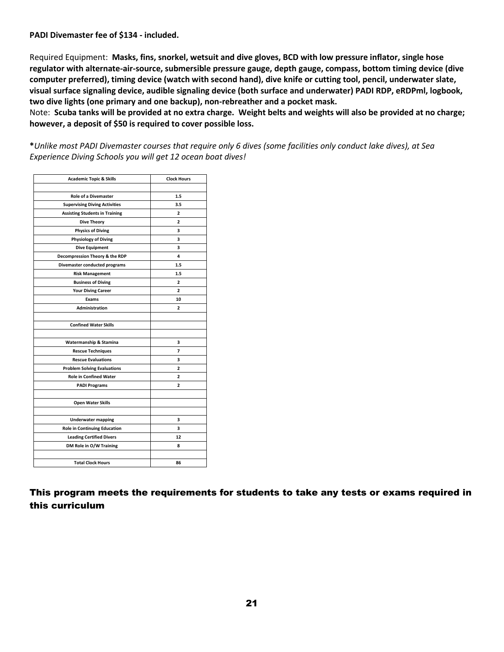#### **PADI Divemaster fee of \$134 - included.**

Required Equipment: **Masks, fins, snorkel, wetsuit and dive gloves, BCD with low pressure inflator, single hose regulator with alternate-air-source, submersible pressure gauge, depth gauge, compass, bottom timing device (dive computer preferred), timing device (watch with second hand), dive knife or cutting tool, pencil, underwater slate, visual surface signaling device, audible signaling device (both surface and underwater) PADI RDP, eRDPml, logbook, two dive lights (one primary and one backup), non-rebreather and a pocket mask.**

Note: **Scuba tanks will be provided at no extra charge. Weight belts and weights will also be provided at no charge; however, a deposit of \$50 is required to cover possible loss.**

**\****Unlike most PADI Divemaster courses that require only 6 dives (some facilities only conduct lake dives), at Sea Experience Diving Schools you will get 12 ocean boat dives!*

| <b>Academic Topic &amp; Skills</b>    | <b>Clock Hours</b> |
|---------------------------------------|--------------------|
|                                       |                    |
| <b>Role of a Divemaster</b>           | 1.5                |
| <b>Supervising Diving Activities</b>  | 3.5                |
| <b>Assisting Students in Training</b> | $\overline{a}$     |
| <b>Dive Theory</b>                    | $\mathbf{2}$       |
| <b>Physics of Diving</b>              | 3                  |
| <b>Physiology of Diving</b>           | 3                  |
| <b>Dive Equipment</b>                 | 3                  |
| Decompression Theory & the RDP        | 4                  |
| Divemaster conducted programs         | 1.5                |
| <b>Risk Management</b>                | 1.5                |
| <b>Business of Diving</b>             | 2                  |
| <b>Your Diving Career</b>             | 2                  |
| Exams                                 | 10                 |
| Administration                        | $\overline{2}$     |
|                                       |                    |
| <b>Confined Water Skills</b>          |                    |
|                                       |                    |
| Watermanship & Stamina                | 3                  |
| <b>Rescue Techniques</b>              | 7                  |
| <b>Rescue Evaluations</b>             | 3                  |
| <b>Problem Solving Evaluations</b>    | $\overline{2}$     |
| <b>Role in Confined Water</b>         | 2                  |
| <b>PADI Programs</b>                  | 2                  |
|                                       |                    |
| <b>Open Water Skills</b>              |                    |
|                                       |                    |
| <b>Underwater mapping</b>             | 3                  |
| <b>Role in Continuing Education</b>   | 3                  |
| <b>Leading Certified Divers</b>       | 12                 |
| DM Role in O/W Training               | 8                  |
|                                       |                    |
| <b>Total Clock Hours</b>              | 86                 |

This program meets the requirements for students to take any tests or exams required in this curriculum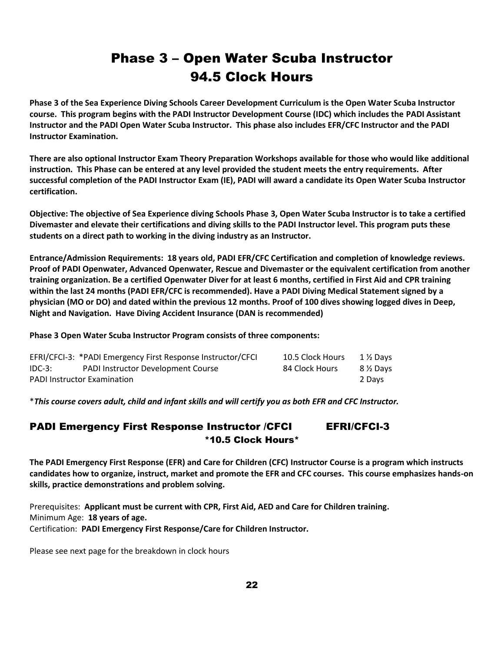## Phase 3 – Open Water Scuba Instructor 94.5 Clock Hours

**Phase 3 of the Sea Experience Diving Schools Career Development Curriculum is the Open Water Scuba Instructor course. This program begins with the PADI Instructor Development Course (IDC) which includes the PADI Assistant Instructor and the PADI Open Water Scuba Instructor. This phase also includes EFR/CFC Instructor and the PADI Instructor Examination.**

**There are also optional Instructor Exam Theory Preparation Workshops available for those who would like additional instruction. This Phase can be entered at any level provided the student meets the entry requirements. After successful completion of the PADI Instructor Exam (IE), PADI will award a candidate its Open Water Scuba Instructor certification.**

**Objective: The objective of Sea Experience diving Schools Phase 3, Open Water Scuba Instructor is to take a certified Divemaster and elevate their certifications and diving skills to the PADI Instructor level. This program puts these students on a direct path to working in the diving industry as an Instructor.**

**Entrance/Admission Requirements: 18 years old, PADI EFR/CFC Certification and completion of knowledge reviews. Proof of PADI Openwater, Advanced Openwater, Rescue and Divemaster or the equivalent certification from another training organization. Be a certified Openwater Diver for at least 6 months, certified in First Aid and CPR training within the last 24 months (PADI EFR/CFC is recommended). Have a PADI Diving Medical Statement signed by a physician (MO or DO) and dated within the previous 12 months. Proof of 100 dives showing logged dives in Deep, Night and Navigation. Have Diving Accident Insurance (DAN is recommended)** 

**Phase 3 Open Water Scuba Instructor Program consists of three components:**

|          | EFRI/CFCI-3: *PADI Emergency First Response Instructor/CFCI | 10.5 Clock Hours | 1½ Davs  |
|----------|-------------------------------------------------------------|------------------|----------|
| $IDC-3:$ | <b>PADI Instructor Development Course</b>                   | 84 Clock Hours   | 8 ½ Days |
|          | <b>PADI Instructor Examination</b>                          |                  | 2 Davs   |

\**This course covers adult, child and infant skills and will certify you as both EFR and CFC Instructor.*

#### PADI Emergency First Response Instructor / CFCI EFRI/CFCI-3 \*10.5 Clock Hours\*

**The PADI Emergency First Response (EFR) and Care for Children (CFC) Instructor Course is a program which instructs candidates how to organize, instruct, market and promote the EFR and CFC courses. This course emphasizes hands-on skills, practice demonstrations and problem solving.**

Prerequisites: **Applicant must be current with CPR, First Aid, AED and Care for Children training.** Minimum Age: **18 years of age.** Certification: **PADI Emergency First Response/Care for Children Instructor.**

Please see next page for the breakdown in clock hours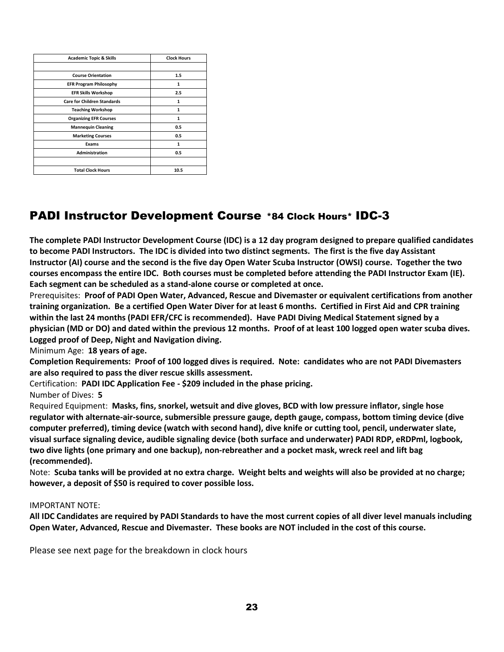| <b>Academic Topic &amp; Skills</b> | <b>Clock Hours</b> |
|------------------------------------|--------------------|
|                                    |                    |
| <b>Course Orientation</b>          | 1.5                |
| <b>EFR Program Philosophy</b>      | $\mathbf{1}$       |
| <b>EFR Skills Workshop</b>         | 2.5                |
| <b>Care for Children Standards</b> |                    |
| <b>Teaching Workshop</b>           | $\mathbf{1}$       |
| <b>Organizing EFR Courses</b>      | $\mathbf{1}$       |
| <b>Mannequin Cleaning</b>          | 0.5                |
| <b>Marketing Courses</b>           | 0.5                |
| Exams                              | 1                  |
| <b>Administration</b>              | 0.5                |
|                                    |                    |
| <b>Total Clock Hours</b>           | 10.5               |

### PADI Instructor Development Course \*84 Clock Hours\* IDC-3

**The complete PADI Instructor Development Course (IDC) is a 12 day program designed to prepare qualified candidates to become PADI Instructors. The IDC is divided into two distinct segments. The first is the five day Assistant Instructor (AI) course and the second is the five day Open Water Scuba Instructor (OWSI) course. Together the two courses encompass the entire IDC. Both courses must be completed before attending the PADI Instructor Exam (IE). Each segment can be scheduled as a stand-alone course or completed at once.**

Prerequisites: **Proof of PADI Open Water, Advanced, Rescue and Divemaster or equivalent certifications from another training organization. Be a certified Open Water Diver for at least 6 months. Certified in First Aid and CPR training within the last 24 months (PADI EFR/CFC is recommended). Have PADI Diving Medical Statement signed by a physician (MD or DO) and dated within the previous 12 months. Proof of at least 100 logged open water scuba dives. Logged proof of Deep, Night and Navigation diving.**

#### Minimum Age: **18 years of age.**

**Completion Requirements: Proof of 100 logged dives is required. Note: candidates who are not PADI Divemasters are also required to pass the diver rescue skills assessment.**

Certification: **PADI IDC Application Fee - \$209 included in the phase pricing.**  Number of Dives: **5** 

Required Equipment: **Masks, fins, snorkel, wetsuit and dive gloves, BCD with low pressure inflator, single hose regulator with alternate-air-source, submersible pressure gauge, depth gauge, compass, bottom timing device (dive computer preferred), timing device (watch with second hand), dive knife or cutting tool, pencil, underwater slate, visual surface signaling device, audible signaling device (both surface and underwater) PADI RDP, eRDPml, logbook, two dive lights (one primary and one backup), non-rebreather and a pocket mask, wreck reel and lift bag (recommended).**

Note: **Scuba tanks will be provided at no extra charge. Weight belts and weights will also be provided at no charge; however, a deposit of \$50 is required to cover possible loss.**

#### IMPORTANT NOTE:

**All IDC Candidates are required by PADI Standards to have the most current copies of all diver level manuals including Open Water, Advanced, Rescue and Divemaster. These books are NOT included in the cost of this course.**

Please see next page for the breakdown in clock hours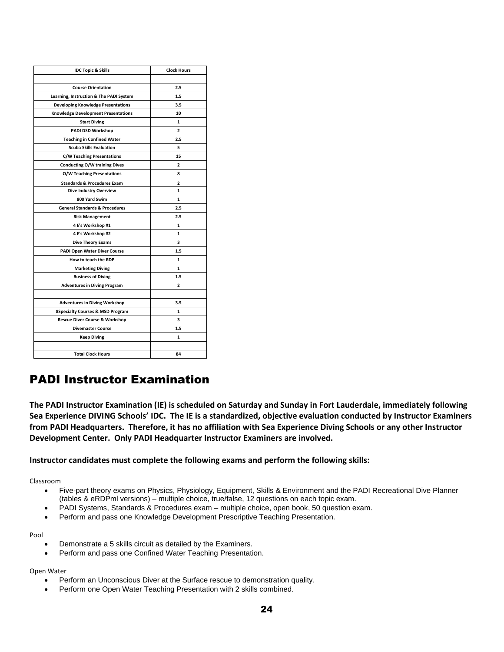| <b>IDC Topic &amp; Skills</b>                                      | <b>Clock Hours</b>             |
|--------------------------------------------------------------------|--------------------------------|
| <b>Course Orientation</b>                                          | 2.5                            |
| Learning, Instruction & The PADI System                            | 1.5                            |
| <b>Developing Knowledge Presentations</b>                          | 3.5                            |
| <b>Knowledge Development Presentations</b>                         | 10                             |
| <b>Start Diving</b>                                                | 1                              |
| PADI DSD Workshop                                                  | $\overline{a}$                 |
| <b>Teaching in Confined Water</b>                                  | 2.5                            |
| <b>Scuba Skills Evaluation</b>                                     | 5                              |
| <b>C/W Teaching Presentations</b>                                  | 15                             |
|                                                                    | $\overline{2}$                 |
| <b>Conducting O/W training Dives</b><br>O/W Teaching Presentations | 8                              |
|                                                                    |                                |
| <b>Standards &amp; Procedures Exam</b>                             | $\overline{2}$<br>$\mathbf{1}$ |
| <b>Dive Industry Overview</b>                                      |                                |
| 800 Yard Swim                                                      | 1                              |
| <b>General Standards &amp; Procedures</b>                          | 2.5                            |
| <b>Risk Management</b>                                             | 2.5                            |
| 4 E's Workshop #1                                                  | 1                              |
| 4 E's Workshop #2                                                  | 1                              |
| <b>Dive Theory Exams</b>                                           | 3                              |
| <b>PADI Open Water Diver Course</b>                                | 1.5                            |
| How to teach the RDP                                               | 1                              |
| <b>Marketing Diving</b>                                            | $\mathbf{1}$                   |
| <b>Business of Diving</b>                                          | 1.5                            |
| <b>Adventures in Diving Program</b>                                | $\overline{2}$                 |
|                                                                    |                                |
| <b>Adventures in Diving Workshop</b>                               | 3.5                            |
| <b>8Specialty Courses &amp; MSD Program</b>                        | 1                              |
| <b>Rescue Diver Course &amp; Workshop</b>                          | 3                              |
| <b>Divemaster Course</b>                                           | 1.5                            |
| <b>Keep Diving</b>                                                 | 1                              |
|                                                                    |                                |
| <b>Total Clock Hours</b>                                           | 84                             |

## PADI Instructor Examination

**The PADI Instructor Examination (IE) is scheduled on Saturday and Sunday in Fort Lauderdale, immediately following Sea Experience DIVING Schools' IDC. The IE is a standardized, objective evaluation conducted by Instructor Examiners from PADI Headquarters. Therefore, it has no affiliation with Sea Experience Diving Schools or any other Instructor Development Center. Only PADI Headquarter Instructor Examiners are involved.**

#### **Instructor candidates must complete the following exams and perform the following skills:**

Classroom

- Five-part theory exams on Physics, Physiology, Equipment, Skills & Environment and the PADI Recreational Dive Planner (tables & eRDPml versions) – multiple choice, true/false, 12 questions on each topic exam.
- PADI Systems, Standards & Procedures exam multiple choice, open book, 50 question exam.
- Perform and pass one Knowledge Development Prescriptive Teaching Presentation.

Pool

- Demonstrate a 5 skills circuit as detailed by the Examiners.
- Perform and pass one Confined Water Teaching Presentation.

#### Open Water

- Perform an Unconscious Diver at the Surface rescue to demonstration quality.
- Perform one Open Water Teaching Presentation with 2 skills combined.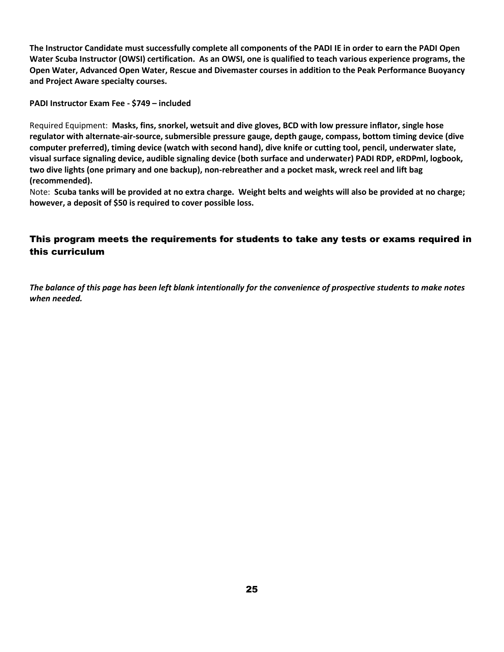**The Instructor Candidate must successfully complete all components of the PADI IE in order to earn the PADI Open Water Scuba Instructor (OWSI) certification. As an OWSI, one is qualified to teach various experience programs, the Open Water, Advanced Open Water, Rescue and Divemaster courses in addition to the Peak Performance Buoyancy and Project Aware specialty courses.**

**PADI Instructor Exam Fee - \$749 – included** 

Required Equipment: **Masks, fins, snorkel, wetsuit and dive gloves, BCD with low pressure inflator, single hose regulator with alternate-air-source, submersible pressure gauge, depth gauge, compass, bottom timing device (dive computer preferred), timing device (watch with second hand), dive knife or cutting tool, pencil, underwater slate, visual surface signaling device, audible signaling device (both surface and underwater) PADI RDP, eRDPml, logbook, two dive lights (one primary and one backup), non-rebreather and a pocket mask, wreck reel and lift bag (recommended).**

Note: **Scuba tanks will be provided at no extra charge. Weight belts and weights will also be provided at no charge; however, a deposit of \$50 is required to cover possible loss.**

#### This program meets the requirements for students to take any tests or exams required in this curriculum

*The balance of this page has been left blank intentionally for the convenience of prospective students to make notes when needed.*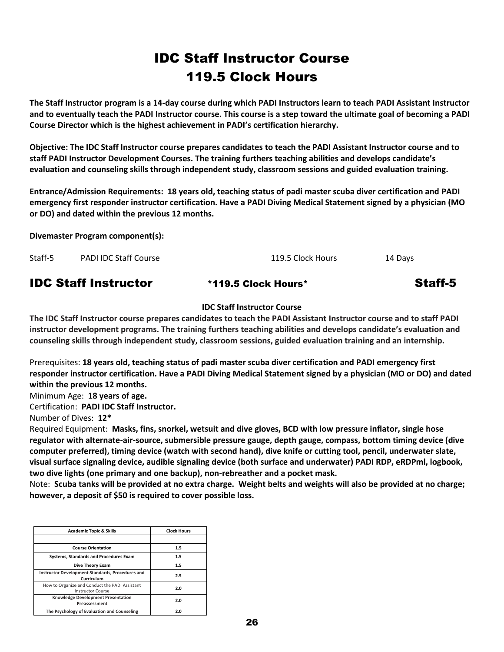## IDC Staff Instructor Course 119.5 Clock Hours

**The Staff Instructor program is a 14-day course during which PADI Instructors learn to teach PADI Assistant Instructor and to eventually teach the PADI Instructor course. This course is a step toward the ultimate goal of becoming a PADI Course Director which is the highest achievement in PADI's certification hierarchy.** 

**Objective: The IDC Staff Instructor course prepares candidates to teach the PADI Assistant Instructor course and to staff PADI Instructor Development Courses. The training furthers teaching abilities and develops candidate's evaluation and counseling skills through independent study, classroom sessions and guided evaluation training.**

**Entrance/Admission Requirements: 18 years old, teaching status of padi master scuba diver certification and PADI emergency first responder instructor certification. Have a PADI Diving Medical Statement signed by a physician (MO or DO) and dated within the previous 12 months.**

**Divemaster Program component(s):**

| Staff-5 | PADI IDC Staff Course | 119.5 Clock Hours | 14 Days |
|---------|-----------------------|-------------------|---------|
|         |                       |                   |         |

### **IDC Staff Instructor** \*119.5 Clock Hours\* Staff-5

#### **IDC Staff Instructor Course**

**The IDC Staff Instructor course prepares candidates to teach the PADI Assistant Instructor course and to staff PADI instructor development programs. The training furthers teaching abilities and develops candidate's evaluation and counseling skills through independent study, classroom sessions, guided evaluation training and an internship.**

Prerequisites: **18 years old, teaching status of padi master scuba diver certification and PADI emergency first responder instructor certification. Have a PADI Diving Medical Statement signed by a physician (MO or DO) and dated within the previous 12 months.**

Minimum Age: **18 years of age.**

Certification: **PADI IDC Staff Instructor.**

Number of Dives: **12\***

Required Equipment: **Masks, fins, snorkel, wetsuit and dive gloves, BCD with low pressure inflator, single hose regulator with alternate-air-source, submersible pressure gauge, depth gauge, compass, bottom timing device (dive computer preferred), timing device (watch with second hand), dive knife or cutting tool, pencil, underwater slate, visual surface signaling device, audible signaling device (both surface and underwater) PADI RDP, eRDPml, logbook, two dive lights (one primary and one backup), non-rebreather and a pocket mask.**

Note: **Scuba tanks will be provided at no extra charge. Weight belts and weights will also be provided at no charge; however, a deposit of \$50 is required to cover possible loss.**

| <b>Academic Topic &amp; Skills</b>                                         | <b>Clock Hours</b> |
|----------------------------------------------------------------------------|--------------------|
|                                                                            |                    |
| <b>Course Orientation</b>                                                  | 1.5                |
| <b>Systems, Standards and Procedures Exam</b>                              | 1.5                |
| Dive Theory Exam                                                           | 1.5                |
| Instructor Development Standards, Procedures and<br>Curriculum             | 2.5                |
| How to Organize and Conduct the PADI Assistant<br><b>Instructor Course</b> | 2.0                |
| <b>Knowledge Development Presentation</b><br>Preassessment                 | 2.0                |
| The Psychology of Evaluation and Counseling                                | 2.0                |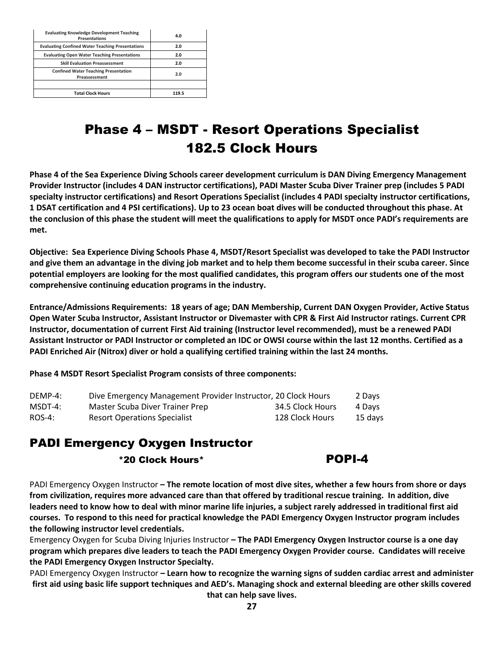| <b>Evaluating Knowledge Development Teaching</b><br><b>Presentations</b> | 4.0   |
|--------------------------------------------------------------------------|-------|
| <b>Evaluating Confined Water Teaching Presentations</b>                  | 2.0   |
| <b>Evaluating Open Water Teaching Presentations</b>                      | 2.0   |
| <b>Skill Evaluation Preassessment</b>                                    | 2.0   |
| <b>Confined Water Teaching Presentation</b><br>Preassessment             | 2.0   |
|                                                                          |       |
| <b>Total Clock Hours</b>                                                 | 119.5 |

## Phase 4 – MSDT - Resort Operations Specialist 182.5 Clock Hours

**Phase 4 of the Sea Experience Diving Schools career development curriculum is DAN Diving Emergency Management Provider Instructor (includes 4 DAN instructor certifications), PADI Master Scuba Diver Trainer prep (includes 5 PADI specialty instructor certifications) and Resort Operations Specialist (includes 4 PADI specialty instructor certifications, 1 DSAT certification and 4 PSI certifications). Up to 23 ocean boat dives will be conducted throughout this phase. At the conclusion of this phase the student will meet the qualifications to apply for MSDT once PADI's requirements are met.**

**Objective: Sea Experience Diving Schools Phase 4, MSDT/Resort Specialist was developed to take the PADI Instructor and give them an advantage in the diving job market and to help them become successful in their scuba career. Since potential employers are looking for the most qualified candidates, this program offers our students one of the most comprehensive continuing education programs in the industry.** 

**Entrance/Admissions Requirements: 18 years of age; DAN Membership, Current DAN Oxygen Provider, Active Status Open Water Scuba Instructor, Assistant Instructor or Divemaster with CPR & First Aid Instructor ratings. Current CPR Instructor, documentation of current First Aid training (Instructor level recommended), must be a renewed PADI Assistant Instructor or PADI Instructor or completed an IDC or OWSI course within the last 12 months. Certified as a PADI Enriched Air (Nitrox) diver or hold a qualifying certified training within the last 24 months.** 

**Phase 4 MSDT Resort Specialist Program consists of three components:**

| DEMP-4:   | Dive Emergency Management Provider Instructor, 20 Clock Hours |                  | 2 Days  |
|-----------|---------------------------------------------------------------|------------------|---------|
| $MSDT-4:$ | Master Scuba Diver Trainer Prep                               | 34.5 Clock Hours | 4 Days  |
| $ROS-4:$  | <b>Resort Operations Specialist</b>                           | 128 Clock Hours  | 15 days |

## PADI Emergency Oxygen Instructor

#### \*20 Clock Hours\* POPI-4

PADI Emergency Oxygen Instructor **– The remote location of most dive sites, whether a few hours from shore or days from civilization, requires more advanced care than that offered by traditional rescue training. In addition, dive leaders need to know how to deal with minor marine life injuries, a subject rarely addressed in traditional first aid courses. To respond to this need for practical knowledge the PADI Emergency Oxygen Instructor program includes the following instructor level credentials.**

Emergency Oxygen for Scuba Diving Injuries Instructor **– The PADI Emergency Oxygen Instructor course is a one day program which prepares dive leaders to teach the PADI Emergency Oxygen Provider course. Candidates will receive the PADI Emergency Oxygen Instructor Specialty.**

PADI Emergency Oxygen Instructor **– Learn how to recognize the warning signs of sudden cardiac arrest and administer first aid using basic life support techniques and AED's. Managing shock and external bleeding are other skills covered that can help save lives.**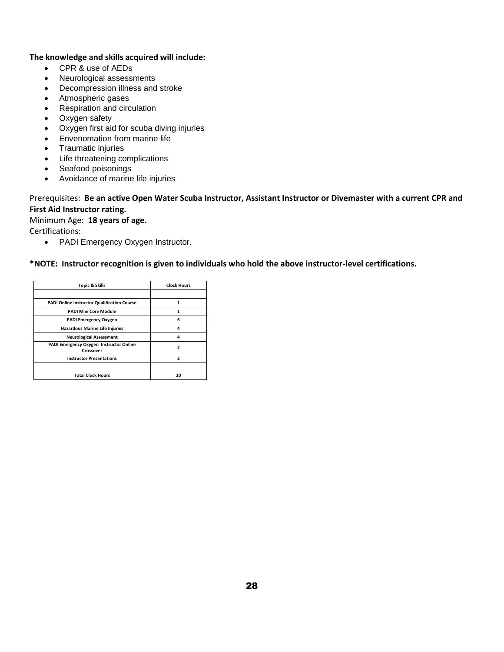#### **The knowledge and skills acquired will include:**

- CPR & use of AEDs
- Neurological assessments
- Decompression illness and stroke
- Atmospheric gases
- Respiration and circulation
- Oxygen safety
- Oxygen first aid for scuba diving injuries
- Envenomation from marine life
- Traumatic injuries
- Life threatening complications
- Seafood poisonings
- Avoidance of marine life injuries

#### Prerequisites: **Be an active Open Water Scuba Instructor, Assistant Instructor or Divemaster with a current CPR and First Aid Instructor rating.**

Minimum Age: **18 years of age.** Certifications:

• PADI Emergency Oxygen Instructor.

#### **\*NOTE: Instructor recognition is given to individuals who hold the above instructor-level certifications.**

| Topic & Skills                                       | <b>Clock Hours</b> |
|------------------------------------------------------|--------------------|
|                                                      |                    |
| <b>PADI Online Instructor Qualification Course</b>   | 1                  |
| <b>PADI Mini Core Module</b>                         | 1                  |
| <b>PADI Emergency Oxygen</b>                         | 6                  |
| <b>Hazardous Marine Life Injuries</b>                | Δ                  |
| <b>Neurological Assessment</b>                       | Δ                  |
| PADI Emergency Oxygen Instructor Online<br>Crossover | 2                  |
| <b>Instructor Presentations</b>                      | ,                  |
|                                                      |                    |
| <b>Total Clock Hours</b>                             | 20                 |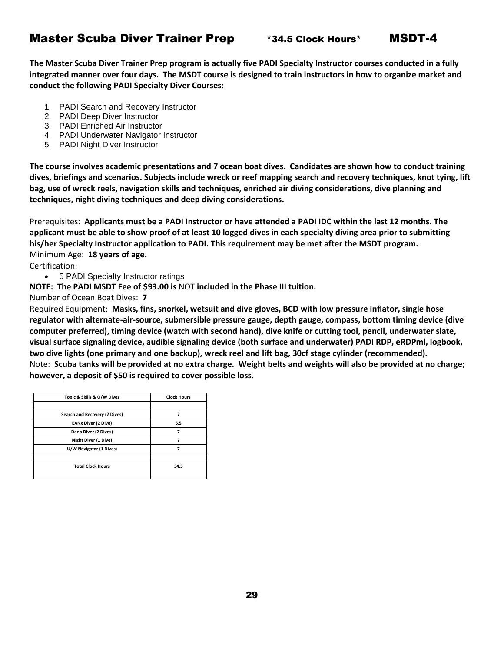### Master Scuba Diver Trainer Prep **\*34.5 Clock Hours\*** MSDT-4

**The Master Scuba Diver Trainer Prep program is actually five PADI Specialty Instructor courses conducted in a fully integrated manner over four days. The MSDT course is designed to train instructors in how to organize market and conduct the following PADI Specialty Diver Courses:**

- 1. PADI Search and Recovery Instructor
- 2. PADI Deep Diver Instructor
- 3. PADI Enriched Air Instructor
- 4. PADI Underwater Navigator Instructor
- 5. PADI Night Diver Instructor

**The course involves academic presentations and 7 ocean boat dives. Candidates are shown how to conduct training dives, briefings and scenarios. Subjects include wreck or reef mapping search and recovery techniques, knot tying, lift bag, use of wreck reels, navigation skills and techniques, enriched air diving considerations, dive planning and techniques, night diving techniques and deep diving considerations.**

Prerequisites: **Applicants must be a PADI Instructor or have attended a PADI IDC within the last 12 months. The applicant must be able to show proof of at least 10 logged dives in each specialty diving area prior to submitting his/her Specialty Instructor application to PADI. This requirement may be met after the MSDT program.** Minimum Age: **18 years of age.**

Certification:

• 5 PADI Specialty Instructor ratings

**NOTE: The PADI MSDT Fee of \$93.00 is** NOT **included in the Phase III tuition.**

Number of Ocean Boat Dives: **7**

Required Equipment: **Masks, fins, snorkel, wetsuit and dive gloves, BCD with low pressure inflator, single hose regulator with alternate-air-source, submersible pressure gauge, depth gauge, compass, bottom timing device (dive computer preferred), timing device (watch with second hand), dive knife or cutting tool, pencil, underwater slate, visual surface signaling device, audible signaling device (both surface and underwater) PADI RDP, eRDPml, logbook, two dive lights (one primary and one backup), wreck reel and lift bag, 30cf stage cylinder (recommended).** Note: **Scuba tanks will be provided at no extra charge. Weight belts and weights will also be provided at no charge; however, a deposit of \$50 is required to cover possible loss.**

| Topic & Skills & O/W Dives    | <b>Clock Hours</b> |
|-------------------------------|--------------------|
|                               |                    |
| Search and Recovery (2 Dives) | 7                  |
| <b>EANx Diver (2 Dive)</b>    | 6.5                |
| Deep Diver (2 Dives)          |                    |
| Night Diver (1 Dive)          |                    |
| U/W Navigator (1 Dives)       | 7                  |
|                               |                    |
| <b>Total Clock Hours</b>      | 34.5               |
|                               |                    |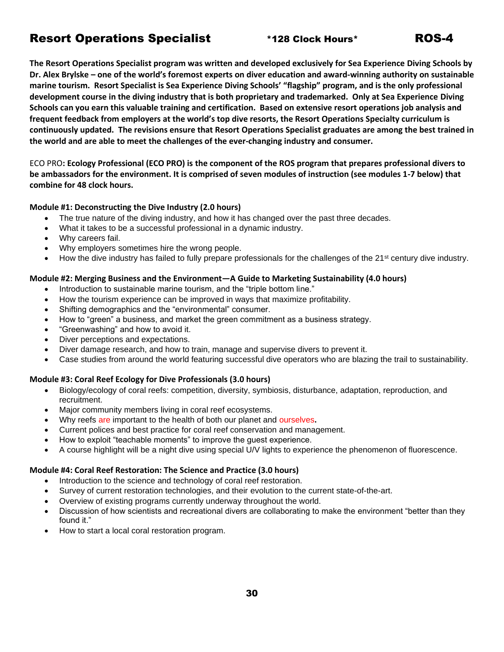### Resort Operations Specialist \*128 Clock Hours\* ROS-4

**The Resort Operations Specialist program was written and developed exclusively for Sea Experience Diving Schools by Dr. Alex Brylske – one of the world's foremost experts on diver education and award-winning authority on sustainable marine tourism. Resort Specialist is Sea Experience Diving Schools' "flagship" program, and is the only professional development course in the diving industry that is both proprietary and trademarked. Only at Sea Experience Diving Schools can you earn this valuable training and certification. Based on extensive resort operations job analysis and frequent feedback from employers at the world's top dive resorts, the Resort Operations Specialty curriculum is continuously updated. The revisions ensure that Resort Operations Specialist graduates are among the best trained in the world and are able to meet the challenges of the ever-changing industry and consumer.** 

ECO PRO**: Ecology Professional (ECO PRO) is the component of the ROS program that prepares professional divers to be ambassadors for the environment. It is comprised of seven modules of instruction (see modules 1-7 below) that combine for 48 clock hours.**

#### **Module #1: Deconstructing the Dive Industry (2.0 hours)**

- The true nature of the diving industry, and how it has changed over the past three decades.
- What it takes to be a successful professional in a dynamic industry.
- Why careers fail.
- Why employers sometimes hire the wrong people.
- How the dive industry has failed to fully prepare professionals for the challenges of the 21<sup>st</sup> century dive industry.

#### **Module #2: Merging Business and the Environment—A Guide to Marketing Sustainability (4.0 hours)**

- Introduction to sustainable marine tourism, and the "triple bottom line."
- How the tourism experience can be improved in ways that maximize profitability.
- Shifting demographics and the "environmental" consumer.
- How to "green" a business, and market the green commitment as a business strategy.
- "Greenwashing" and how to avoid it.
- Diver perceptions and expectations.
- Diver damage research, and how to train, manage and supervise divers to prevent it.
- Case studies from around the world featuring successful dive operators who are blazing the trail to sustainability.

#### **Module #3: Coral Reef Ecology for Dive Professionals (3.0 hours)**

- Biology/ecology of coral reefs: competition, diversity, symbiosis, disturbance, adaptation, reproduction, and recruitment.
- Major community members living in coral reef ecosystems.
- Why reefs are important to the health of both our planet and ourselves**.**
- Current polices and best practice for coral reef conservation and management.
- How to exploit "teachable moments" to improve the guest experience.
- A course highlight will be a night dive using special U/V lights to experience the phenomenon of fluorescence.

#### **Module #4: Coral Reef Restoration: The Science and Practice (3.0 hours)**

- Introduction to the science and technology of coral reef restoration.
- Survey of current restoration technologies, and their evolution to the current state-of-the-art.
- Overview of existing programs currently underway throughout the world.
- Discussion of how scientists and recreational divers are collaborating to make the environment "better than they found it."
- How to start a local coral restoration program.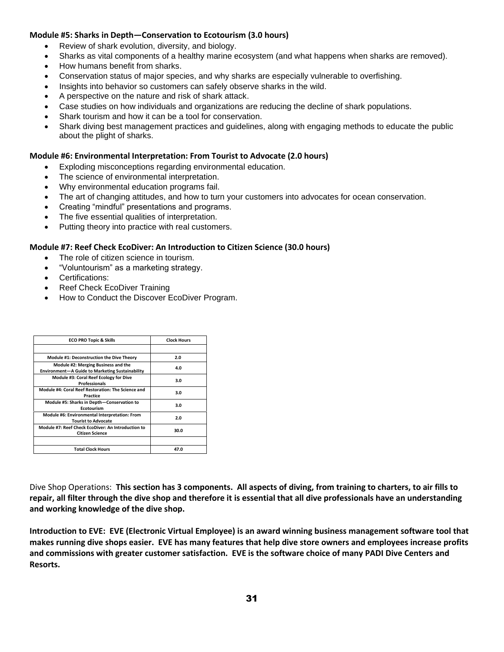#### **Module #5: Sharks in Depth—Conservation to Ecotourism (3.0 hours)**

- Review of shark evolution, diversity, and biology.
- Sharks as vital components of a healthy marine ecosystem (and what happens when sharks are removed).
- How humans benefit from sharks.
- Conservation status of major species, and why sharks are especially vulnerable to overfishing.
- Insights into behavior so customers can safely observe sharks in the wild.
- A perspective on the nature and risk of shark attack.
- Case studies on how individuals and organizations are reducing the decline of shark populations.
- Shark tourism and how it can be a tool for conservation.
- Shark diving best management practices and guidelines, along with engaging methods to educate the public about the plight of sharks.

#### **Module #6: Environmental Interpretation: From Tourist to Advocate (2.0 hours)**

- Exploding misconceptions regarding environmental education.
- The science of environmental interpretation.
- Why environmental education programs fail.
- The art of changing attitudes, and how to turn your customers into advocates for ocean conservation.
- Creating "mindful" presentations and programs.
- The five essential qualities of interpretation.
- Putting theory into practice with real customers.

#### **Module #7: Reef Check EcoDiver: An Introduction to Citizen Science (30.0 hours)**

- The role of citizen science in tourism.
- "Voluntourism" as a marketing strategy.
- Certifications:
- Reef Check EcoDiver Training
- How to Conduct the Discover EcoDiver Program.

| <b>ECO PRO Topic &amp; Skills</b>                                                      | <b>Clock Hours</b> |
|----------------------------------------------------------------------------------------|--------------------|
|                                                                                        |                    |
| Module #1: Deconstruction the Dive Theory                                              | 2.0                |
| Module #2: Merging Business and the<br>Environment-A Guide to Marketing Sustainability | 4.0                |
| Module #3: Coral Reef Ecology for Dive<br><b>Professionals</b>                         | 3.0                |
| Module #4: Coral Reef Restoration: The Science and<br>Practice                         | 3.0                |
| Module #5: Sharks in Depth-Conservation to<br>Ecotourism                               | 3.0                |
| Module #6: Environmental Interpretation: From<br><b>Tourist to Advocate</b>            | 2.0                |
| Module #7: Reef Check EcoDiver: An Introduction to<br><b>Citizen Science</b>           | 30.0               |
|                                                                                        |                    |
| <b>Total Clock Hours</b>                                                               | 47.0               |

Dive Shop Operations: **This section has 3 components. All aspects of diving, from training to charters, to air fills to repair, all filter through the dive shop and therefore it is essential that all dive professionals have an understanding and working knowledge of the dive shop.**

**Introduction to EVE: EVE (Electronic Virtual Employee) is an award winning business management software tool that makes running dive shops easier. EVE has many features that help dive store owners and employees increase profits and commissions with greater customer satisfaction. EVE is the software choice of many PADI Dive Centers and Resorts.**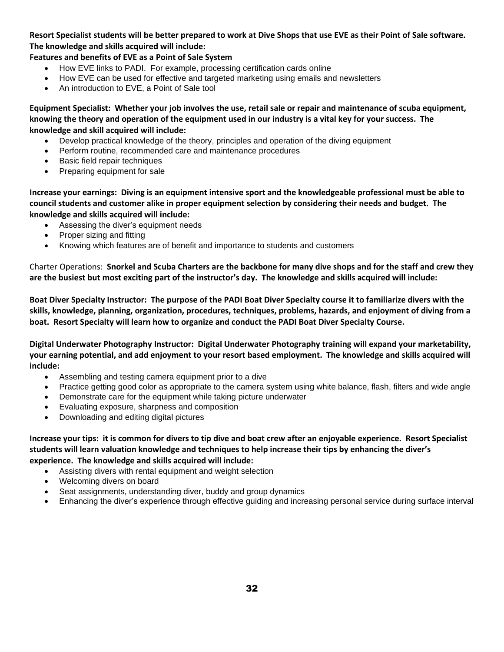#### **Resort Specialist students will be better prepared to work at Dive Shops that use EVE as their Point of Sale software. The knowledge and skills acquired will include:**

#### **Features and benefits of EVE as a Point of Sale System**

- How EVE links to PADI. For example, processing certification cards online
- How EVE can be used for effective and targeted marketing using emails and newsletters
- An introduction to EVE, a Point of Sale tool

**Equipment Specialist: Whether your job involves the use, retail sale or repair and maintenance of scuba equipment, knowing the theory and operation of the equipment used in our industry is a vital key for your success. The knowledge and skill acquired will include:**

- Develop practical knowledge of the theory, principles and operation of the diving equipment
- Perform routine, recommended care and maintenance procedures
- Basic field repair techniques
- Preparing equipment for sale

**Increase your earnings: Diving is an equipment intensive sport and the knowledgeable professional must be able to council students and customer alike in proper equipment selection by considering their needs and budget. The knowledge and skills acquired will include:**

- Assessing the diver's equipment needs
- Proper sizing and fitting
- Knowing which features are of benefit and importance to students and customers

Charter Operations: **Snorkel and Scuba Charters are the backbone for many dive shops and for the staff and crew they are the busiest but most exciting part of the instructor's day. The knowledge and skills acquired will include:**

**Boat Diver Specialty Instructor: The purpose of the PADI Boat Diver Specialty course it to familiarize divers with the skills, knowledge, planning, organization, procedures, techniques, problems, hazards, and enjoyment of diving from a boat. Resort Specialty will learn how to organize and conduct the PADI Boat Diver Specialty Course.**

**Digital Underwater Photography Instructor: Digital Underwater Photography training will expand your marketability, your earning potential, and add enjoyment to your resort based employment. The knowledge and skills acquired will include:**

- Assembling and testing camera equipment prior to a dive
- Practice getting good color as appropriate to the camera system using white balance, flash, filters and wide angle
- Demonstrate care for the equipment while taking picture underwater
- Evaluating exposure, sharpness and composition
- Downloading and editing digital pictures

**Increase your tips: it is common for divers to tip dive and boat crew after an enjoyable experience. Resort Specialist students will learn valuation knowledge and techniques to help increase their tips by enhancing the diver's experience. The knowledge and skills acquired will include:**

- Assisting divers with rental equipment and weight selection
- Welcoming divers on board
- Seat assignments, understanding diver, buddy and group dynamics
- Enhancing the diver's experience through effective guiding and increasing personal service during surface interval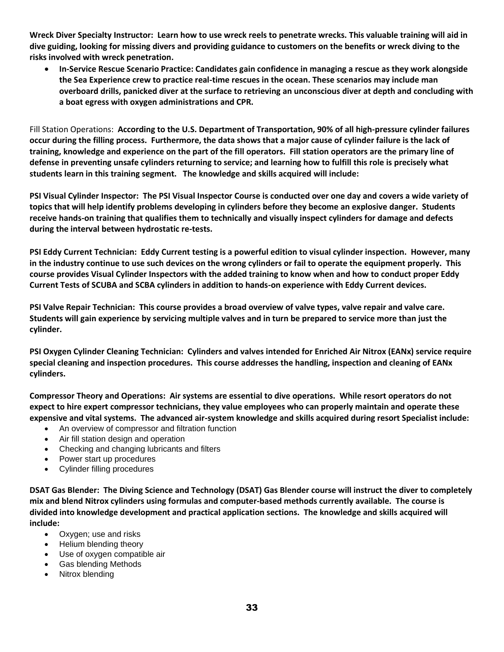**Wreck Diver Specialty Instructor: Learn how to use wreck reels to penetrate wrecks. This valuable training will aid in dive guiding, looking for missing divers and providing guidance to customers on the benefits or wreck diving to the risks involved with wreck penetration.**

• **In-Service Rescue Scenario Practice: Candidates gain confidence in managing a rescue as they work alongside the Sea Experience crew to practice real-time rescues in the ocean. These scenarios may include man overboard drills, panicked diver at the surface to retrieving an unconscious diver at depth and concluding with a boat egress with oxygen administrations and CPR.**

Fill Station Operations: **According to the U.S. Department of Transportation, 90% of all high-pressure cylinder failures occur during the filling process. Furthermore, the data shows that a major cause of cylinder failure is the lack of training, knowledge and experience on the part of the fill operators. Fill station operators are the primary line of defense in preventing unsafe cylinders returning to service; and learning how to fulfill this role is precisely what students learn in this training segment. The knowledge and skills acquired will include:**

**PSI Visual Cylinder Inspector: The PSI Visual Inspector Course is conducted over one day and covers a wide variety of topics that will help identify problems developing in cylinders before they become an explosive danger. Students receive hands-on training that qualifies them to technically and visually inspect cylinders for damage and defects during the interval between hydrostatic re-tests.**

**PSI Eddy Current Technician: Eddy Current testing is a powerful edition to visual cylinder inspection. However, many in the industry continue to use such devices on the wrong cylinders or fail to operate the equipment properly. This course provides Visual Cylinder Inspectors with the added training to know when and how to conduct proper Eddy Current Tests of SCUBA and SCBA cylinders in addition to hands-on experience with Eddy Current devices.** 

**PSI Valve Repair Technician: This course provides a broad overview of valve types, valve repair and valve care. Students will gain experience by servicing multiple valves and in turn be prepared to service more than just the cylinder.**

**PSI Oxygen Cylinder Cleaning Technician: Cylinders and valves intended for Enriched Air Nitrox (EANx) service require special cleaning and inspection procedures. This course addresses the handling, inspection and cleaning of EANx cylinders.**

**Compressor Theory and Operations: Air systems are essential to dive operations. While resort operators do not expect to hire expert compressor technicians, they value employees who can properly maintain and operate these expensive and vital systems. The advanced air-system knowledge and skills acquired during resort Specialist include:**

- An overview of compressor and filtration function
- Air fill station design and operation
- Checking and changing lubricants and filters
- Power start up procedures
- Cylinder filling procedures

**DSAT Gas Blender: The Diving Science and Technology (DSAT) Gas Blender course will instruct the diver to completely mix and blend Nitrox cylinders using formulas and computer-based methods currently available. The course is divided into knowledge development and practical application sections. The knowledge and skills acquired will include:**

- Oxygen; use and risks
- Helium blending theory
- Use of oxygen compatible air
- Gas blending Methods
- Nitrox blending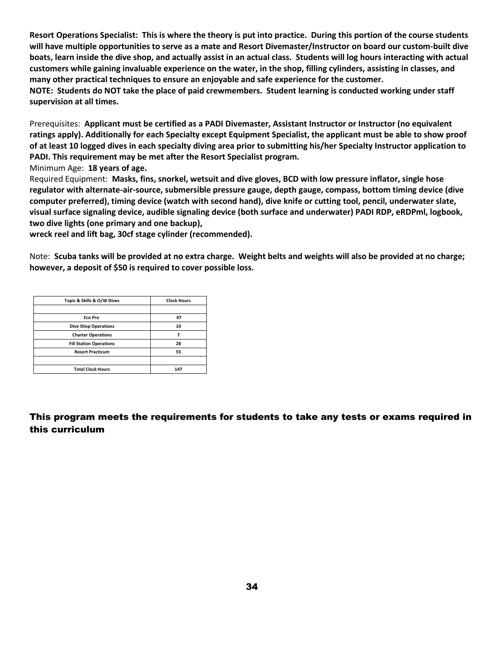**Resort Operations Specialist: This is where the theory is put into practice. During this portion of the course students will have multiple opportunities to serve as a mate and Resort Divemaster/Instructor on board our custom-built dive boats, learn inside the dive shop, and actually assist in an actual class. Students will log hours interacting with actual customers while gaining invaluable experience on the water, in the shop, filling cylinders, assisting in classes, and many other practical techniques to ensure an enjoyable and safe experience for the customer. NOTE: Students do NOT take the place of paid crewmembers. Student learning is conducted working under staff supervision at all times.**

Prerequisites: **Applicant must be certified as a PADI Divemaster, Assistant Instructor or Instructor (no equivalent ratings apply). Additionally for each Specialty except Equipment Specialist, the applicant must be able to show proof of at least 10 logged dives in each specialty diving area prior to submitting his/her Specialty Instructor application to PADI. This requirement may be met after the Resort Specialist program.**

Minimum Age: **18 years of age.**

Required Equipment: **Masks, fins, snorkel, wetsuit and dive gloves, BCD with low pressure inflator, single hose regulator with alternate-air-source, submersible pressure gauge, depth gauge, compass, bottom timing device (dive computer preferred), timing device (watch with second hand), dive knife or cutting tool, pencil, underwater slate, visual surface signaling device, audible signaling device (both surface and underwater) PADI RDP, eRDPml, logbook, two dive lights (one primary and one backup),** 

**wreck reel and lift bag, 30cf stage cylinder (recommended).**

Note: **Scuba tanks will be provided at no extra charge. Weight belts and weights will also be provided at no charge; however, a deposit of \$50 is required to cover possible loss.**

| Topic & Skills & O/W Dives     | <b>Clock Hours</b> |
|--------------------------------|--------------------|
|                                |                    |
| Eco Pro                        | 47                 |
| <b>Dive Shop Operations</b>    | 10                 |
| <b>Charter Operations</b>      | 7                  |
| <b>Fill Station Operations</b> | 28                 |
| <b>Resort Practicum</b>        | 55                 |
|                                |                    |
| <b>Total Clock Hours</b>       | 147                |

#### This program meets the requirements for students to take any tests or exams required in this curriculum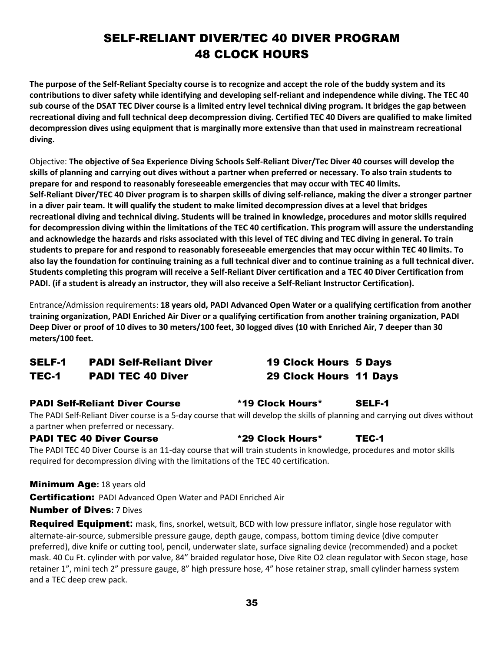## SELF-RELIANT DIVER/TEC 40 DIVER PROGRAM 48 CLOCK HOURS

**The purpose of the Self-Reliant Specialty course is to recognize and accept the role of the buddy system and its contributions to diver safety while identifying and developing self-reliant and independence while diving. The TEC 40 sub course of the DSAT TEC Diver course is a limited entry level technical diving program. It bridges the gap between recreational diving and full technical deep decompression diving. Certified TEC 40 Divers are qualified to make limited decompression dives using equipment that is marginally more extensive than that used in mainstream recreational diving.**

Objective: **The objective of Sea Experience Diving Schools Self-Reliant Diver/Tec Diver 40 courses will develop the skills of planning and carrying out dives without a partner when preferred or necessary. To also train students to prepare for and respond to reasonably foreseeable emergencies that may occur with TEC 40 limits. Self-Reliant Diver/TEC 40 Diver program is to sharpen skills of diving self-reliance, making the diver a stronger partner in a diver pair team. It will qualify the student to make limited decompression dives at a level that bridges recreational diving and technical diving. Students will be trained in knowledge, procedures and motor skills required for decompression diving within the limitations of the TEC 40 certification. This program will assure the understanding and acknowledge the hazards and risks associated with this level of TEC diving and TEC diving in general. To train students to prepare for and respond to reasonably foreseeable emergencies that may occur within TEC 40 limits. To also lay the foundation for continuing training as a full technical diver and to continue training as a full technical diver. Students completing this program will receive a Self-Reliant Diver certification and a TEC 40 Diver Certification from PADI. (if a student is already an instructor, they will also receive a Self-Reliant Instructor Certification).**

Entrance/Admission requirements: **18 years old, PADI Advanced Open Water or a qualifying certification from another training organization, PADI Enriched Air Diver or a qualifying certification from another training organization, PADI Deep Diver or proof of 10 dives to 30 meters/100 feet, 30 logged dives (10 with Enriched Air, 7 deeper than 30 meters/100 feet.**

#### SELF-1 PADI Self-Reliant Diver 19 Clock Hours 5 Days TEC-1 PADI TEC 40 Diver 29 Clock Hours 11 Days

#### PADI Self-Reliant Diver Course \*19 Clock Hours\* SELF-1

The PADI Self-Reliant Diver course is a 5-day course that will develop the skills of planning and carrying out dives without a partner when preferred or necessary.

#### PADI TEC 40 Diver Course \*29 Clock Hours\* TEC-1

The PADI TEC 40 Diver Course is an 11-day course that will train students in knowledge, procedures and motor skills required for decompression diving with the limitations of the TEC 40 certification.

#### Minimum Age**:** 18 years old

Certification:PADI Advanced Open Water and PADI Enriched Air

#### Number of Dives**:** 7 Dives

Required Equipment**:** mask, fins, snorkel, wetsuit, BCD with low pressure inflator, single hose regulator with alternate-air-source, submersible pressure gauge, depth gauge, compass, bottom timing device (dive computer preferred), dive knife or cutting tool, pencil, underwater slate, surface signaling device (recommended) and a pocket mask. 40 Cu Ft. cylinder with por valve, 84" braided regulator hose, Dive Rite O2 clean regulator with Secon stage, hose retainer 1", mini tech 2" pressure gauge, 8" high pressure hose, 4" hose retainer strap, small cylinder harness system and a TEC deep crew pack.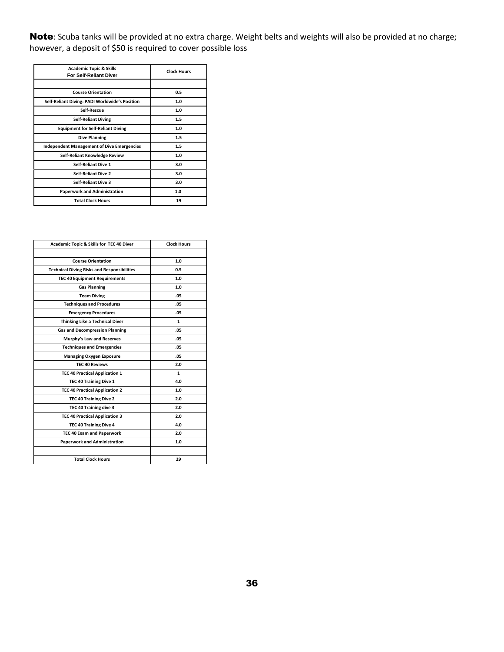Note: Scuba tanks will be provided at no extra charge. Weight belts and weights will also be provided at no charge; however, a deposit of \$50 is required to cover possible loss

| <b>Academic Topic &amp; Skills</b><br><b>For Self-Reliant Diver</b> | <b>Clock Hours</b> |
|---------------------------------------------------------------------|--------------------|
|                                                                     |                    |
| <b>Course Orientation</b>                                           | 0.5                |
| Self-Reliant Diving: PADI Worldwide's Position                      | 1.0                |
| Self-Rescue                                                         | 1.0                |
| <b>Self-Reliant Diving</b>                                          | 1.5                |
| <b>Equipment for Self-Reliant Diving</b>                            | 1.0                |
| <b>Dive Planning</b>                                                | 1.5                |
| <b>Independent Management of Dive Emergencies</b>                   | 1.5                |
| Self-Reliant Knowledge Review                                       | 1.0                |
| <b>Self-Reliant Dive 1</b>                                          | 3.0                |
| <b>Self-Reliant Dive 2</b>                                          | 3.0                |
| <b>Self-Reliant Dive 3</b>                                          | 3.0                |
| <b>Paperwork and Administration</b>                                 | 1.0                |
| <b>Total Clock Hours</b>                                            | 19                 |

| Academic Topic & Skills for TEC 40 Diver           | <b>Clock Hours</b> |
|----------------------------------------------------|--------------------|
|                                                    |                    |
| <b>Course Orientation</b>                          | 1.0                |
| <b>Technical Diving Risks and Responsibilities</b> | 0.5                |
| <b>TEC 40 Equipment Requirements</b>               | 1.0                |
| <b>Gas Planning</b>                                | 1.0                |
| <b>Team Diving</b>                                 | .05                |
| <b>Techniques and Procedures</b>                   | .05                |
| <b>Emergency Procedures</b>                        | .05                |
| <b>Thinking Like a Technical Diver</b>             | $\mathbf{1}$       |
| <b>Gas and Decompression Planning</b>              | .05                |
| Murphy's Law and Reserves                          | .05                |
| <b>Techniques and Emergencies</b>                  | .05                |
| <b>Managing Oxygen Exposure</b>                    | .05                |
| <b>TEC 40 Reviews</b>                              | 2.0                |
| <b>TEC 40 Practical Application 1</b>              | 1                  |
| TEC 40 Training Dive 1                             | 4.0                |
| <b>TEC 40 Practical Application 2</b>              | 1.0                |
| TEC 40 Training Dive 2                             | 2.0                |
| TEC 40 Training dive 3                             | 2.0                |
| <b>TEC 40 Practical Application 3</b>              | 2.0                |
| TEC 40 Training Dive 4                             | 4.0                |
| <b>TEC 40 Exam and Paperwork</b>                   | 2.0                |
| <b>Paperwork and Administration</b>                | 1.0                |
|                                                    |                    |
| <b>Total Clock Hours</b>                           | 29                 |
|                                                    |                    |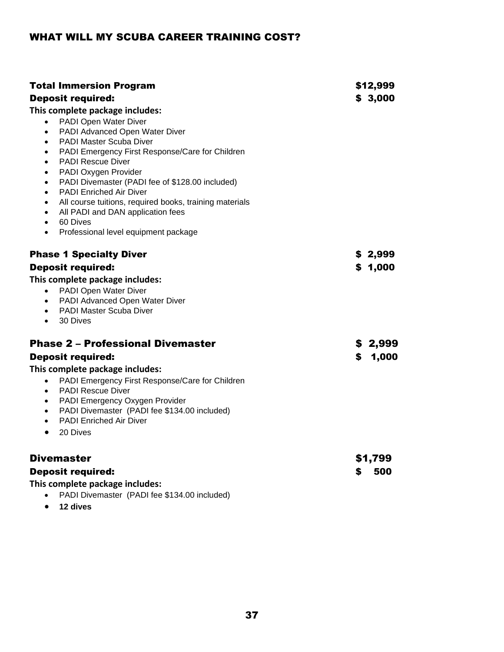### WHAT WILL MY SCUBA CAREER TRAINING COST?

| <b>Total Immersion Program</b><br><b>Deposit required:</b><br>This complete package includes:<br>PADI Open Water Diver<br>$\bullet$<br>PADI Advanced Open Water Diver<br>$\bullet$<br><b>PADI Master Scuba Diver</b><br>$\bullet$<br>PADI Emergency First Response/Care for Children<br>$\bullet$<br><b>PADI Rescue Diver</b><br>$\bullet$<br>PADI Oxygen Provider<br>$\bullet$<br>PADI Divemaster (PADI fee of \$128.00 included)<br>$\bullet$<br><b>PADI Enriched Air Diver</b><br>$\bullet$<br>All course tuitions, required books, training materials<br>$\bullet$<br>All PADI and DAN application fees<br>$\bullet$<br>60 Dives<br>$\bullet$<br>Professional level equipment package<br>$\bullet$ |    | \$12,999<br>\$3,000 |
|--------------------------------------------------------------------------------------------------------------------------------------------------------------------------------------------------------------------------------------------------------------------------------------------------------------------------------------------------------------------------------------------------------------------------------------------------------------------------------------------------------------------------------------------------------------------------------------------------------------------------------------------------------------------------------------------------------|----|---------------------|
| <b>Phase 1 Specialty Diver</b><br><b>Deposit required:</b><br>This complete package includes:<br>PADI Open Water Diver<br>$\bullet$<br>PADI Advanced Open Water Diver<br>$\bullet$<br>PADI Master Scuba Diver<br>$\bullet$<br>30 Dives<br>$\bullet$                                                                                                                                                                                                                                                                                                                                                                                                                                                    |    | \$2,999<br>\$1,000  |
| <b>Phase 2 - Professional Divemaster</b><br><b>Deposit required:</b><br>This complete package includes:<br>PADI Emergency First Response/Care for Children<br>$\bullet$<br><b>PADI Rescue Diver</b><br>$\bullet$<br>PADI Emergency Oxygen Provider<br>$\bullet$<br>PADI Divemaster (PADI fee \$134.00 included)<br>$\bullet$<br><b>PADI Enriched Air Diver</b><br>$\bullet$<br>20 Dives<br>$\bullet$                                                                                                                                                                                                                                                                                                   | \$ | \$ 2,999<br>1,000   |
| <b>Divemaster</b><br><b>Deposit required:</b><br>This complete package includes:<br>PADI Divemaster (PADI fee \$134.00 included)<br>$\bullet$                                                                                                                                                                                                                                                                                                                                                                                                                                                                                                                                                          | S  | \$1,799<br>500      |

• **12 dives**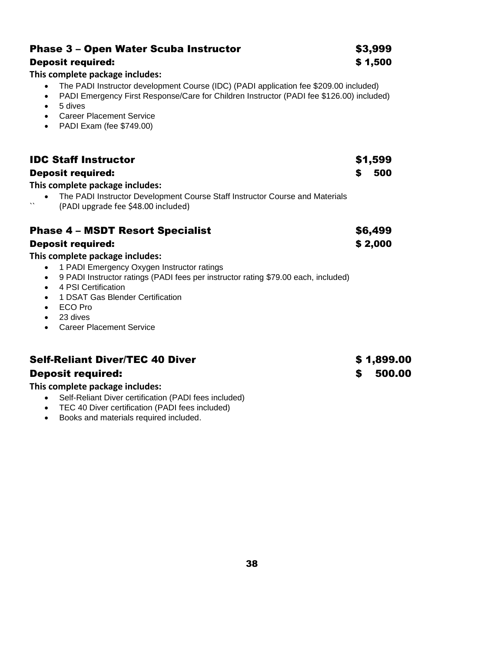| <b>Phase 3 - Open Water Scuba Instructor</b>                                                                                                                                                                                                                                                                                                                    | \$3,999    |  |
|-----------------------------------------------------------------------------------------------------------------------------------------------------------------------------------------------------------------------------------------------------------------------------------------------------------------------------------------------------------------|------------|--|
| <b>Deposit required:</b>                                                                                                                                                                                                                                                                                                                                        | \$1,500    |  |
| This complete package includes:<br>The PADI Instructor development Course (IDC) (PADI application fee \$209.00 included)<br>$\bullet$<br>PADI Emergency First Response/Care for Children Instructor (PADI fee \$126.00) included)<br>$\bullet$<br>5 dives<br>$\bullet$<br><b>Career Placement Service</b><br>$\bullet$<br>PADI Exam (fee \$749.00)<br>$\bullet$ |            |  |
| <b>IDC Staff Instructor</b>                                                                                                                                                                                                                                                                                                                                     | \$1,599    |  |
| <b>Deposit required:</b>                                                                                                                                                                                                                                                                                                                                        | 500<br>S   |  |
| This complete package includes:<br>The PADI Instructor Development Course Staff Instructor Course and Materials<br>$\cdot$<br>(PADI upgrade fee \$48.00 included)                                                                                                                                                                                               |            |  |
| <b>Phase 4 - MSDT Resort Specialist</b>                                                                                                                                                                                                                                                                                                                         | \$6,499    |  |
| <b>Deposit required:</b>                                                                                                                                                                                                                                                                                                                                        | \$2,000    |  |
| This complete package includes:                                                                                                                                                                                                                                                                                                                                 |            |  |
| 1 PADI Emergency Oxygen Instructor ratings<br>$\bullet$<br>9 PADI Instructor ratings (PADI fees per instructor rating \$79.00 each, included)<br>$\bullet$<br>4 PSI Certification<br>$\bullet$<br>1 DSAT Gas Blender Certification<br>$\bullet$<br><b>ECO</b> Pro<br>$\bullet$<br>23 dives<br>$\bullet$<br><b>Career Placement Service</b><br>$\bullet$         |            |  |
| <b>Self-Reliant Diver/TEC 40 Diver</b>                                                                                                                                                                                                                                                                                                                          | \$1,899.00 |  |

### Deposit required: \$ 500.00

#### **This complete package includes:**

- Self-Reliant Diver certification (PADI fees included)
- TEC 40 Diver certification (PADI fees included)
- Books and materials required included.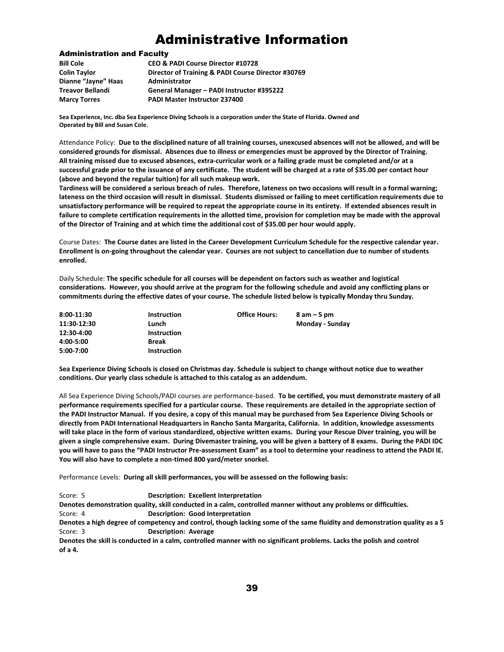## Administrative Information

#### Administration and Faculty

| Director of Training & PADI Course Director #30769 |
|----------------------------------------------------|
|                                                    |
|                                                    |
|                                                    |
|                                                    |

**Sea Experience, Inc. dba Sea Experience Diving Schools is a corporation under the State of Florida. Owned and Operated by Bill and Susan Cole.**

Attendance Policy: **Due to the disciplined nature of all training courses, unexcused absences will not be allowed, and will be considered grounds for dismissal. Absences due to illness or emergencies must be approved by the Director of Training. All training missed due to excused absences, extra-curricular work or a failing grade must be completed and/or at a successful grade prior to the issuance of any certificate. The student will be charged at a rate of \$35.00 per contact hour (above and beyond the regular tuition) for all such makeup work.**

**Tardiness will be considered a serious breach of rules. Therefore, lateness on two occasions will result in a formal warning; lateness on the third occasion will result in dismissal. Students dismissed or failing to meet certification requirements due to unsatisfactory performance will be required to repeat the appropriate course in its entirety. If extended absences result in failure to complete certification requirements in the allotted time, provision for completion may be made with the approval of the Director of Training and at which time the additional cost of \$35.00 per hour would apply.**

Course Dates: **The Course dates are listed in the Career Development Curriculum Schedule for the respective calendar year. Enrollment is on-going throughout the calendar year. Courses are not subject to cancellation due to number of students enrolled.**

Daily Schedule: **The specific schedule for all courses will be dependent on factors such as weather and logistical considerations. However, you should arrive at the program for the following schedule and avoid any conflicting plans or commitments during the effective dates of your course. The schedule listed below is typically Monday thru Sunday.**

| 8:00-11:30  | <b>Instruction</b> | <b>Office Hours:</b> | $8$ am $-5$ pm  |
|-------------|--------------------|----------------------|-----------------|
| 11:30-12:30 | Lunch              |                      | Monday - Sunday |
| 12:30-4:00  | <b>Instruction</b> |                      |                 |
| 4:00-5:00   | <b>Break</b>       |                      |                 |
| 5:00-7:00   | <b>Instruction</b> |                      |                 |

**Sea Experience Diving Schools is closed on Christmas day. Schedule is subject to change without notice due to weather conditions. Our yearly class schedule is attached to this catalog as an addendum.**

All Sea Experience Diving Schools/PADI courses are performance-based. **To be certified, you must demonstrate mastery of all performance requirements specified for a particular course. These requirements are detailed in the appropriate section of the PADI Instructor Manual. If you desire, a copy of this manual may be purchased from Sea Experience Diving Schools or directly from PADI International Headquarters in Rancho Santa Margarita, California. In addition, knowledge assessments will take place in the form of various standardized, objective written exams. During your Rescue Diver training, you will be given a single comprehensive exam. During Divemaster training, you will be given a battery of 8 exams. During the PADI IDC you will have to pass the "PADI Instructor Pre-assessment Exam" as a tool to determine your readiness to attend the PADI IE. You will also have to complete a non-timed 800 yard/meter snorkel.**

Performance Levels: **During all skill performances, you will be assessed on the following basis:**

Score: 5 **Description: Excellent Interpretation**

**Denotes demonstration quality, skill conducted in a calm, controlled manner without any problems or difficulties.** 

Score: 4 **Description: Good Interpretation**

**Denotes a high degree of competency and control, though lacking some of the same fluidity and demonstration quality as a 5** Score: 3 **Description: Average**

**Denotes the skill is conducted in a calm, controlled manner with no significant problems. Lacks the polish and control of a 4.**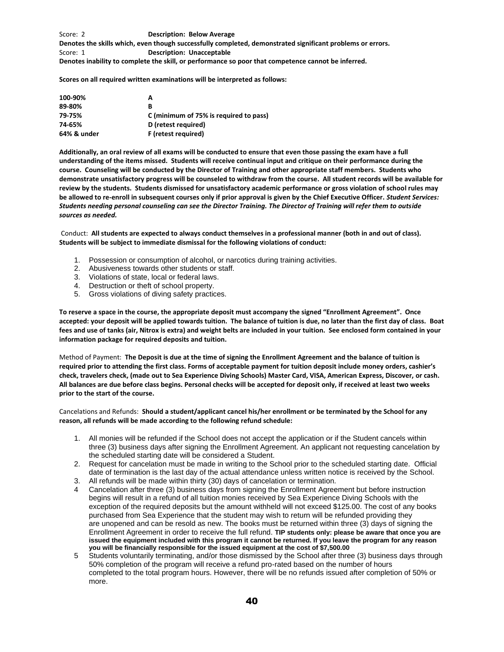Score: 2 **Description: Below Average Denotes the skills which, even though successfully completed, demonstrated significant problems or errors.** Score: 1 **Description: Unacceptable Denotes inability to complete the skill, or performance so poor that competence cannot be inferred.**

**Scores on all required written examinations will be interpreted as follows:**

| 100-90%     | А                                      |
|-------------|----------------------------------------|
| 89-80%      | в                                      |
| 79-75%      | C (minimum of 75% is required to pass) |
| 74-65%      | D (retest required)                    |
| 64% & under | F (retest required)                    |

**Additionally, an oral review of all exams will be conducted to ensure that even those passing the exam have a full understanding of the items missed. Students will receive continual input and critique on their performance during the course. Counseling will be conducted by the Director of Training and other appropriate staff members. Students who demonstrate unsatisfactory progress will be counseled to withdraw from the course. All student records will be available for review by the students. Students dismissed for unsatisfactory academic performance or gross violation of school rules may be allowed to re-enroll in subsequent courses only if prior approval is given by the Chief Executive Officer.** *Student Services: Students needing personal counseling can see the Director Training. The Director of Training will refer them to outside sources as needed.*

Conduct: **All students are expected to always conduct themselves in a professional manner (both in and out of class). Students will be subject to immediate dismissal for the following violations of conduct:**

- 1. Possession or consumption of alcohol, or narcotics during training activities.
- 2. Abusiveness towards other students or staff.
- 3. Violations of state, local or federal laws.
- 4. Destruction or theft of school property.
- 5. Gross violations of diving safety practices.

**To reserve a space in the course, the appropriate deposit must accompany the signed "Enrollment Agreement". Once accepted: your deposit will be applied towards tuition. The balance of tuition is due, no later than the first day of class. Boat fees and use of tanks (air, Nitrox is extra) and weight belts are included in your tuition. See enclosed form contained in your information package for required deposits and tuition.**

Method of Payment: **The Deposit is due at the time of signing the Enrollment Agreement and the balance of tuition is required prior to attending the first class. Forms of acceptable payment for tuition deposit include money orders, cashier's check, travelers check, (made out to Sea Experience Diving Schools) Master Card, VISA, American Express, Discover, or cash. All balances are due before class begins. Personal checks will be accepted for deposit only, if received at least two weeks prior to the start of the course.** 

Cancelations and Refunds: **Should a student/applicant cancel his/her enrollment or be terminated by the School for any reason, all refunds will be made according to the following refund schedule:**

- 1. All monies will be refunded if the School does not accept the application or if the Student cancels within three (3) business days after signing the Enrollment Agreement. An applicant not requesting cancelation by the scheduled starting date will be considered a Student.
- 2. Request for cancelation must be made in writing to the School prior to the scheduled starting date. Official date of termination is the last day of the actual attendance unless written notice is received by the School.
- 3. All refunds will be made within thirty (30) days of cancelation or termination.
- 4 Cancelation after three (3) business days from signing the Enrollment Agreement but before instruction begins will result in a refund of all tuition monies received by Sea Experience Diving Schools with the exception of the required deposits but the amount withheld will not exceed \$125.00. The cost of any books purchased from Sea Experience that the student may wish to return will be refunded providing they are unopened and can be resold as new. The books must be returned within three (3) days of signing the Enrollment Agreement in order to receive the full refund. **TIP students only: please be aware that once you are issued the equipment included with this program it cannot be returned. If you leave the program for any reason you will be financially responsible for the issued equipment at the cost of \$7,500.00**
- 5 Students voluntarily terminating, and/or those dismissed by the School after three (3) business days through 50% completion of the program will receive a refund pro-rated based on the number of hours completed to the total program hours. However, there will be no refunds issued after completion of 50% or more.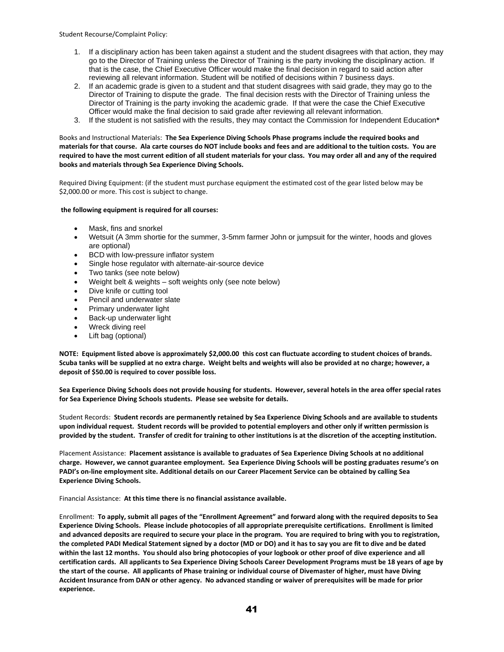Student Recourse/Complaint Policy:

- 1. If a disciplinary action has been taken against a student and the student disagrees with that action, they may go to the Director of Training unless the Director of Training is the party invoking the disciplinary action. If that is the case, the Chief Executive Officer would make the final decision in regard to said action after reviewing all relevant information. Student will be notified of decisions within 7 business days.
- 2. If an academic grade is given to a student and that student disagrees with said grade, they may go to the Director of Training to dispute the grade. The final decision rests with the Director of Training unless the Director of Training is the party invoking the academic grade. If that were the case the Chief Executive Officer would make the final decision to said grade after reviewing all relevant information.
- 3. If the student is not satisfied with the results, they may contact the Commission for Independent Education**\***

Books and Instructional Materials: **The Sea Experience Diving Schools Phase programs include the required books and materials for that course. Ala carte courses do NOT include books and fees and are additional to the tuition costs. You are required to have the most current edition of all student materials for your class. You may order all and any of the required books and materials through Sea Experience Diving Schools.**

Required Diving Equipment: (if the student must purchase equipment the estimated cost of the gear listed below may be \$2,000.00 or more. This cost is subject to change.

#### **the following equipment is required for all courses:**

- Mask, fins and snorkel
- Wetsuit (A 3mm shortie for the summer, 3-5mm farmer John or jumpsuit for the winter, hoods and gloves are optional)
- BCD with low-pressure inflator system
- Single hose regulator with alternate-air-source device
- Two tanks (see note below)
- Weight belt & weights soft weights only (see note below)
- Dive knife or cutting tool
- Pencil and underwater slate
- Primary underwater light
- Back-up underwater light
- Wreck diving reel
- Lift bag (optional)

**NOTE: Equipment listed above is approximately \$2,000.00 this cost can fluctuate according to student choices of brands. Scuba tanks will be supplied at no extra charge. Weight belts and weights will also be provided at no charge; however, a deposit of \$50.00 is required to cover possible loss.**

**Sea Experience Diving Schools does not provide housing for students. However, several hotels in the area offer special rates for Sea Experience Diving Schools students. Please see website for details.**

Student Records: **Student records are permanently retained by Sea Experience Diving Schools and are available to students upon individual request. Student records will be provided to potential employers and other only if written permission is provided by the student. Transfer of credit for training to other institutions is at the discretion of the accepting institution.**

Placement Assistance: **Placement assistance is available to graduates of Sea Experience Diving Schools at no additional charge. However, we cannot guarantee employment. Sea Experience Diving Schools will be posting graduates resume's on PADI's on-line employment site. Additional details on our Career Placement Service can be obtained by calling Sea Experience Diving Schools.**

Financial Assistance: **At this time there is no financial assistance available.**

Enrollment: **To apply, submit all pages of the "Enrollment Agreement" and forward along with the required deposits to Sea Experience Diving Schools. Please include photocopies of all appropriate prerequisite certifications. Enrollment is limited and advanced deposits are required to secure your place in the program. You are required to bring with you to registration, the completed PADI Medical Statement signed by a doctor (MD or DO) and it has to say you are fit to dive and be dated within the last 12 months. You should also bring photocopies of your logbook or other proof of dive experience and all certification cards. All applicants to Sea Experience Diving Schools Career Development Programs must be 18 years of age by the start of the course. All applicants of Phase training or individual course of Divemaster of higher, must have Diving Accident Insurance from DAN or other agency. No advanced standing or waiver of prerequisites will be made for prior experience.**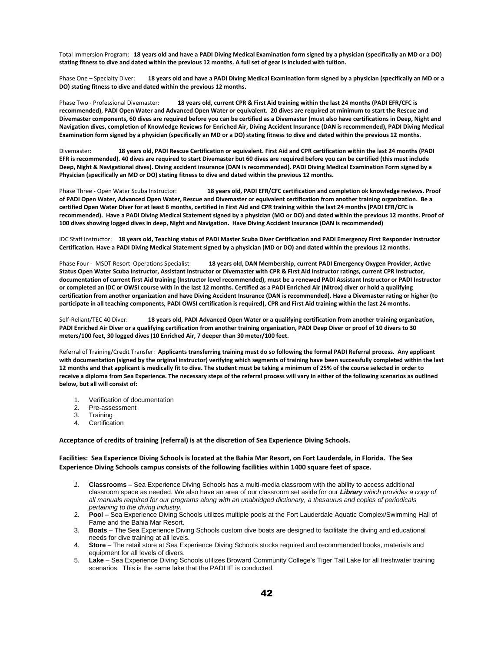Total Immersion Program: **18 years old and have a PADI Diving Medical Examination form signed by a physician (specifically an MD or a DO) stating fitness to dive and dated within the previous 12 months. A full set of gear is included with tuition.**

Phase One – Specialty Diver: **18 years old and have a PADI Diving Medical Examination form signed by a physician (specifically an MD or a DO) stating fitness to dive and dated within the previous 12 months.**

Phase Two - Professional Divemaster: **18 years old, current CPR & First Aid training within the last 24 months (PADI EFR/CFC is recommended), PADI Open Water and Advanced Open Water or equivalent. 20 dives are required at minimum to start the Rescue and Divemaster components, 60 dives are required before you can be certified as a Divemaster (must also have certifications in Deep, Night and Navigation dives, completion of Knowledge Reviews for Enriched Air, Diving Accident Insurance (DAN is recommended), PADI Diving Medical Examination form signed by a physician (specifically an MD or a DO) stating fitness to dive and dated within the previous 12 months.**

Divemaster**: 18 years old, PADI Rescue Certification or equivalent. First Aid and CPR certification within the last 24 months (PADI EFR is recommended). 40 dives are required to start Divemaster but 60 dives are required before you can be certified (this must include Deep, Night & Navigational dives). Diving accident insurance (DAN is recommended). PADI Diving Medical Examination Form signed by a Physician (specifically an MD or DO) stating fitness to dive and dated within the previous 12 months.**

Phase Three - Open Water Scuba Instructor: **18 years old, PADI EFR/CFC certification and completion ok knowledge reviews. Proof of PADI Open Water, Advanced Open Water, Rescue and Divemaster or equivalent certification from another training organization. Be a certified Open Water Diver for at least 6 months, certified in First Aid and CPR training within the last 24 months (PADI EFR/CFC is recommended). Have a PADI Diving Medical Statement signed by a physician (MO or DO) and dated within the previous 12 months. Proof of 100 dives showing logged dives in deep, Night and Navigation. Have Diving Accident Insurance (DAN is recommended)**

IDC Staff Instructor: **18 years old, Teaching status of PADI Master Scuba Diver Certification and PADI Emergency First Responder Instructor Certification. Have a PADI Diving Medical Statement signed by a physician (MD or DO) and dated within the previous 12 months.**

Phase Four - MSDT Resort Operations Specialist: **18 years old, DAN Membership, current PADI Emergency Oxygen Provider, Active Status Open Water Scuba Instructor, Assistant Instructor or Divemaster with CPR & First Aid Instructor ratings, current CPR Instructor, documentation of current first Aid training (Instructor level recommended), must be a renewed PADI Assistant Instructor or PADI Instructor or completed an IDC or OWSI course with in the last 12 months. Certified as a PADI Enriched Air (Nitrox) diver or hold a qualifying certification from another organization and have Diving Accident Insurance (DAN is recommended). Have a Divemaster rating or higher (to participate in all teaching components, PADI OWSI certification is required), CPR and First Aid training within the last 24 months.**

Self-Reliant/TEC 40 Diver: **18 years old, PADI Advanced Open Water or a qualifying certification from another training organization, PADI Enriched Air Diver or a qualifying certification from another training organization, PADI Deep Diver or proof of 10 divers to 30 meters/100 feet, 30 logged dives (10 Enriched Air, 7 deeper than 30 meter/100 feet.**

Referral of Training/Credit Transfer: **Applicants transferring training must do so following the formal PADI Referral process. Any applicant with documentation (signed by the original instructor) verifying which segments of training have been successfully completed within the last 12 months and that applicant is medically fit to dive. The student must be taking a minimum of 25% of the course selected in order to receive a diploma from Sea Experience. The necessary steps of the referral process will vary in either of the following scenarios as outlined below, but all will consist of:**

- 1. Verification of documentation
- 2. Pre-assessment
- 3. Training
- 4. Certification

#### **Acceptance of credits of training (referral) is at the discretion of Sea Experience Diving Schools.**

#### **Facilities: Sea Experience Diving Schools is located at the Bahia Mar Resort, on Fort Lauderdale, in Florida. The Sea Experience Diving Schools campus consists of the following facilities within 1400 square feet of space.**

- *1.* **Classrooms** Sea Experience Diving Schools has a multi-media classroom with the ability to access additional classroom space as needed. We also have an area of our classroom set aside for our *Library which provides a copy of all manuals required for our programs along with an unabridged dictionary, a thesaurus and copies of periodicals pertaining to the diving industry.*
- 2. **Pool** Sea Experience Diving Schools utilizes multiple pools at the Fort Lauderdale Aquatic Complex/Swimming Hall of Fame and the Bahia Mar Resort.
- 3. **Boats** The Sea Experience Diving Schools custom dive boats are designed to facilitate the diving and educational needs for dive training at all levels.
- 4. **Store** The retail store at Sea Experience Diving Schools stocks required and recommended books, materials and equipment for all levels of divers.
- 5. **Lake** Sea Experience Diving Schools utilizes Broward Community College's Tiger Tail Lake for all freshwater training scenarios. This is the same lake that the PADI IE is conducted.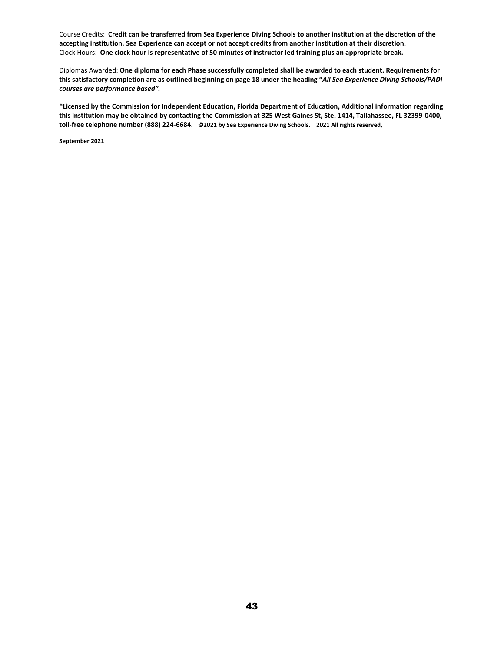Course Credits: **Credit can be transferred from Sea Experience Diving Schools to another institution at the discretion of the accepting institution. Sea Experience can accept or not accept credits from another institution at their discretion.** Clock Hours: **One clock hour is representative of 50 minutes of instructor led training plus an appropriate break.**

Diplomas Awarded: **One diploma for each Phase successfully completed shall be awarded to each student. Requirements for this satisfactory completion are as outlined beginning on page 18 under the heading "***All Sea Experience Diving Schools/PADI courses are performance based".*

\***Licensed by the Commission for Independent Education, Florida Department of Education, Additional information regarding this institution may be obtained by contacting the Commission at 325 West Gaines St, Ste. 1414, Tallahassee, FL 32399-0400, toll-free telephone number (888) 224-6684. ©2021 by Sea Experience Diving Schools. 2021 All rights reserved,**

**September 2021**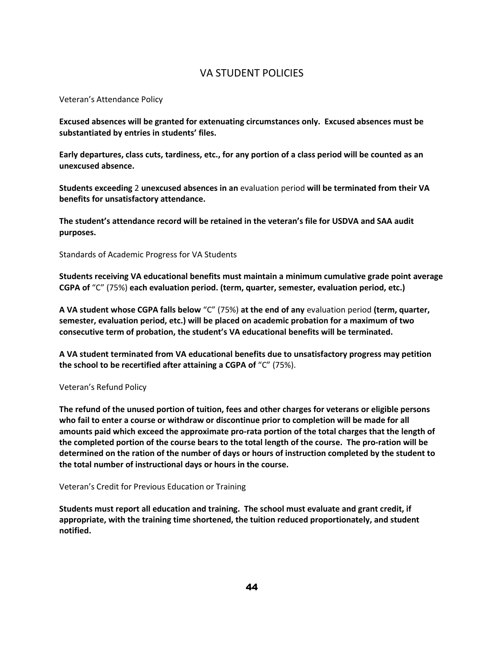#### VA STUDENT POLICIES

Veteran's Attendance Policy

**Excused absences will be granted for extenuating circumstances only. Excused absences must be substantiated by entries in students' files.**

**Early departures, class cuts, tardiness, etc., for any portion of a class period will be counted as an unexcused absence.**

**Students exceeding** 2 **unexcused absences in an** evaluation period **will be terminated from their VA benefits for unsatisfactory attendance.**

**The student's attendance record will be retained in the veteran's file for USDVA and SAA audit purposes.**

Standards of Academic Progress for VA Students

**Students receiving VA educational benefits must maintain a minimum cumulative grade point average CGPA of** "C" (75%) **each evaluation period. (term, quarter, semester, evaluation period, etc.)**

**A VA student whose CGPA falls below** "C" (75%) **at the end of any** evaluation period **(term, quarter, semester, evaluation period, etc.) will be placed on academic probation for a maximum of two consecutive term of probation, the student's VA educational benefits will be terminated.**

**A VA student terminated from VA educational benefits due to unsatisfactory progress may petition the school to be recertified after attaining a CGPA of** "C" (75%).

#### Veteran's Refund Policy

**The refund of the unused portion of tuition, fees and other charges for veterans or eligible persons who fail to enter a course or withdraw or discontinue prior to completion will be made for all amounts paid which exceed the approximate pro-rata portion of the total charges that the length of the completed portion of the course bears to the total length of the course. The pro-ration will be determined on the ration of the number of days or hours of instruction completed by the student to the total number of instructional days or hours in the course.**

#### Veteran's Credit for Previous Education or Training

**Students must report all education and training. The school must evaluate and grant credit, if appropriate, with the training time shortened, the tuition reduced proportionately, and student notified.**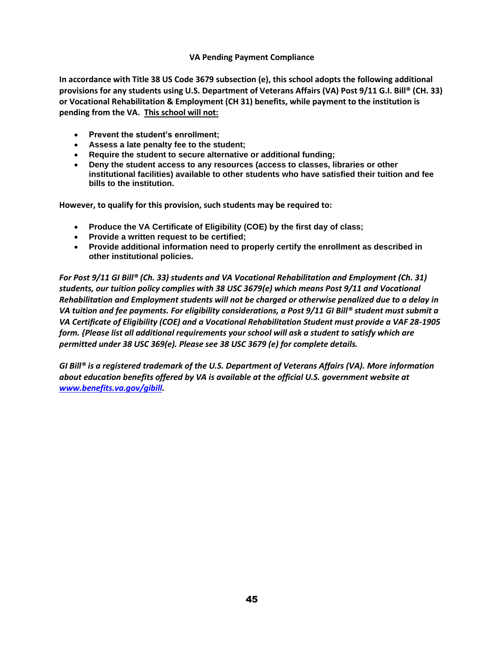#### **VA Pending Payment Compliance**

**In accordance with Title 38 US Code 3679 subsection (e), this school adopts the following additional provisions for any students using U.S. Department of Veterans Affairs (VA) Post 9/11 G.I. Bill® (CH. 33) or Vocational Rehabilitation & Employment (CH 31) benefits, while payment to the institution is pending from the VA. This school will not:**

- **Prevent the student's enrollment;**
- **Assess a late penalty fee to the student;**
- **Require the student to secure alternative or additional funding;**
- **Deny the student access to any resources (access to classes, libraries or other institutional facilities) available to other students who have satisfied their tuition and fee bills to the institution.**

**However, to qualify for this provision, such students may be required to:**

- **Produce the VA Certificate of Eligibility (COE) by the first day of class;**
- **Provide a written request to be certified;**
- **Provide additional information need to properly certify the enrollment as described in other institutional policies.**

*For Post 9/11 GI Bill® (Ch. 33) students and VA Vocational Rehabilitation and Employment (Ch. 31) students, our tuition policy complies with 38 USC 3679(e) which means Post 9/11 and Vocational Rehabilitation and Employment students will not be charged or otherwise penalized due to a delay in VA tuition and fee payments. For eligibility considerations, a Post 9/11 GI Bill® student must submit a VA Certificate of Eligibility (COE) and a Vocational Rehabilitation Student must provide a VAF 28-1905 form. {Please list all additional requirements your school will ask a student to satisfy which are permitted under 38 USC 369(e). Please see 38 USC 3679 (e) for complete details.*

*GI Bill® is a registered trademark of the U.S. Department of Veterans Affairs (VA). More information about education benefits offered by VA is available at the official U.S. government website at [www.benefits.va.gov/gibill.](http://www.benefits.va.gov/gibill)*